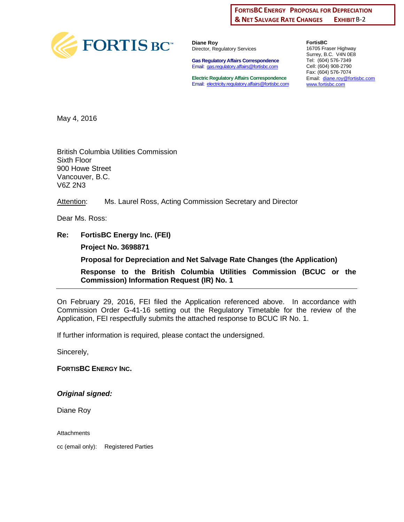#### EXHIBIT B-2 **FORTISBC ENERGY PROPOSAL FOR DEPRECIATION & NET SALVAGE RATE CHANGES**



**Diane Roy** Director, Regulatory Services

**Gas Regulatory Affairs Correspondence** Email: [gas.regulatory.affairs@fortisbc.com](mailto:gas.regulatory.affairs@fortisbc.com)

**Electric Regulatory Affairs Correspondence** Email: [electricity.regulatory.affairs@fortisbc.com](mailto:electricity.regulatory.affairs@fortisbc.com)

**FortisBC**  16705 Fraser Highway Surrey, B.C. V4N 0E8 Tel: (604) 576-7349 Cell: (604) 908-2790 Fax: (604) 576-7074 Email: [diane.roy@fortisbc.com](mailto:diane.roy@fortisbc.com)  [www.fortisbc.com](http://www.fortisbc.com/)

May 4, 2016

British Columbia Utilities Commission Sixth Floor 900 Howe Street Vancouver, B.C. V6Z 2N3

Attention: Ms. Laurel Ross, Acting Commission Secretary and Director

Dear Ms. Ross:

**Re: FortisBC Energy Inc. (FEI) Project No. 3698871** 

**Proposal for Depreciation and Net Salvage Rate Changes (the Application)** 

**Response to the British Columbia Utilities Commission (BCUC or the Commission) Information Request (IR) No. 1** 

On February 29, 2016, FEI filed the Application referenced above. In accordance with Commission Order G-41-16 setting out the Regulatory Timetable for the review of the Application, FEI respectfully submits the attached response to BCUC IR No. 1.

If further information is required, please contact the undersigned.

Sincerely,

**FORTISBC ENERGY INC.** 

*Original signed:* 

Diane Roy

**Attachments** 

cc (email only): Registered Parties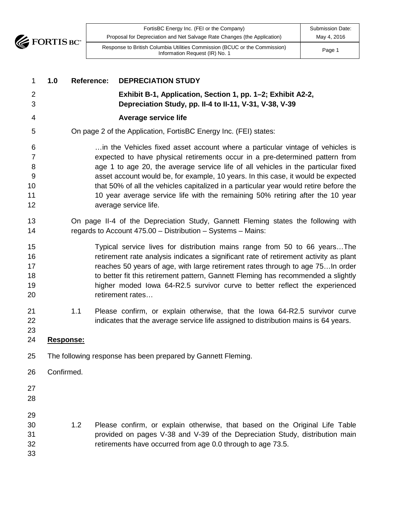

| 1                                               | 1.0        | <b>Reference:</b> | <b>DEPRECIATION STUDY</b>                                                                                                                                                                                                                                                                                                                                                                                                                                                                                                                   |
|-------------------------------------------------|------------|-------------------|---------------------------------------------------------------------------------------------------------------------------------------------------------------------------------------------------------------------------------------------------------------------------------------------------------------------------------------------------------------------------------------------------------------------------------------------------------------------------------------------------------------------------------------------|
| 2<br>3                                          |            |                   | Exhibit B-1, Application, Section 1, pp. 1-2; Exhibit A2-2,<br>Depreciation Study, pp. II-4 to II-11, V-31, V-38, V-39                                                                                                                                                                                                                                                                                                                                                                                                                      |
| 4                                               |            |                   | Average service life                                                                                                                                                                                                                                                                                                                                                                                                                                                                                                                        |
| 5                                               |            |                   | On page 2 of the Application, FortisBC Energy Inc. (FEI) states:                                                                                                                                                                                                                                                                                                                                                                                                                                                                            |
| 6<br>$\overline{7}$<br>8<br>9<br>10<br>11<br>12 |            |                   | in the Vehicles fixed asset account where a particular vintage of vehicles is<br>expected to have physical retirements occur in a pre-determined pattern from<br>age 1 to age 20, the average service life of all vehicles in the particular fixed<br>asset account would be, for example, 10 years. In this case, it would be expected<br>that 50% of all the vehicles capitalized in a particular year would retire before the<br>10 year average service life with the remaining 50% retiring after the 10 year<br>average service life. |
| 13<br>14                                        |            |                   | On page II-4 of the Depreciation Study, Gannett Fleming states the following with<br>regards to Account 475.00 - Distribution - Systems - Mains:                                                                                                                                                                                                                                                                                                                                                                                            |
| 15<br>16<br>17<br>18<br>19<br>20                |            |                   | Typical service lives for distribution mains range from 50 to 66 years The<br>retirement rate analysis indicates a significant rate of retirement activity as plant<br>reaches 50 years of age, with large retirement rates through to age 75 In order<br>to better fit this retirement pattern, Gannett Fleming has recommended a slightly<br>higher moded lowa 64-R2.5 survivor curve to better reflect the experienced<br>retirement rates                                                                                               |
| 21<br>22<br>23                                  |            | 1.1               | Please confirm, or explain otherwise, that the lowa 64-R2.5 survivor curve<br>indicates that the average service life assigned to distribution mains is 64 years.                                                                                                                                                                                                                                                                                                                                                                           |
| 24                                              | Response:  |                   |                                                                                                                                                                                                                                                                                                                                                                                                                                                                                                                                             |
| 25                                              |            |                   | The following response has been prepared by Gannett Fleming.                                                                                                                                                                                                                                                                                                                                                                                                                                                                                |
| 26                                              | Confirmed. |                   |                                                                                                                                                                                                                                                                                                                                                                                                                                                                                                                                             |
| 27<br>28                                        |            |                   |                                                                                                                                                                                                                                                                                                                                                                                                                                                                                                                                             |
| 29<br>30<br>31<br>32<br>33                      |            | 1.2               | Please confirm, or explain otherwise, that based on the Original Life Table<br>provided on pages V-38 and V-39 of the Depreciation Study, distribution main<br>retirements have occurred from age 0.0 through to age 73.5.                                                                                                                                                                                                                                                                                                                  |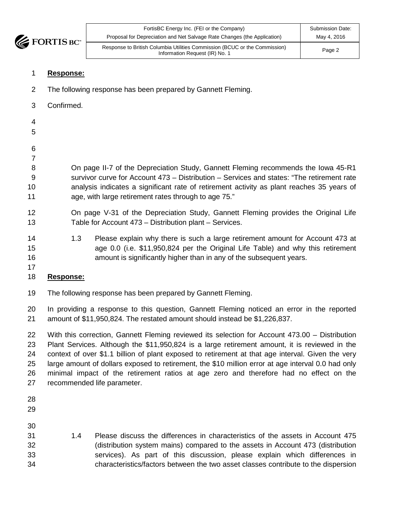

| FortisBC Energy Inc. (FEI or the Company)                                                                    | <b>Submission Date:</b> |
|--------------------------------------------------------------------------------------------------------------|-------------------------|
| Proposal for Depreciation and Net Salvage Rate Changes (the Application)                                     | May 4, 2016             |
| Response to British Columbia Utilities Commission (BCUC or the Commission)<br>Information Request (IR) No. 1 | Page 2                  |

#### **Response:**

- The following response has been prepared by Gannett Fleming.
- Confirmed.
- 
- 
- 

 On page II-7 of the Depreciation Study, Gannett Fleming recommends the Iowa 45-R1 survivor curve for Account 473 – Distribution – Services and states: "The retirement rate analysis indicates a significant rate of retirement activity as plant reaches 35 years of 11 age, with large retirement rates through to age 75."

- On page V-31 of the Depreciation Study, Gannett Fleming provides the Original Life Table for Account 473 – Distribution plant – Services.
- 1.3 Please explain why there is such a large retirement amount for Account 473 at age 0.0 (i.e. \$11,950,824 per the Original Life Table) and why this retirement amount is significantly higher than in any of the subsequent years.
- 

# **Response:**

The following response has been prepared by Gannett Fleming.

 In providing a response to this question, Gannett Fleming noticed an error in the reported amount of \$11,950,824. The restated amount should instead be \$1,226,837.

 With this correction, Gannett Fleming reviewed its selection for Account 473.00 – Distribution Plant Services. Although the \$11,950,824 is a large retirement amount, it is reviewed in the context of over \$1.1 billion of plant exposed to retirement at that age interval. Given the very large amount of dollars exposed to retirement, the \$10 million error at age interval 0.0 had only minimal impact of the retirement ratios at age zero and therefore had no effect on the recommended life parameter.

- 
- 
- 
- 1.4 Please discuss the differences in characteristics of the assets in Account 475 (distribution system mains) compared to the assets in Account 473 (distribution services). As part of this discussion, please explain which differences in characteristics/factors between the two asset classes contribute to the dispersion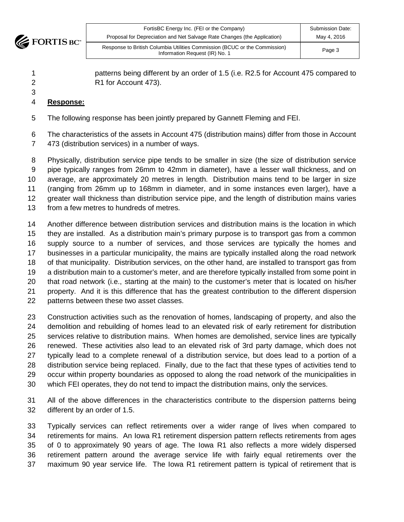

| FortisBC Energy Inc. (FEI or the Company)                                                                    | <b>Submission Date:</b> |
|--------------------------------------------------------------------------------------------------------------|-------------------------|
| Proposal for Depreciation and Net Salvage Rate Changes (the Application)                                     | May 4, 2016             |
| Response to British Columbia Utilities Commission (BCUC or the Commission)<br>Information Request (IR) No. 1 | Page 3                  |

 patterns being different by an order of 1.5 (i.e. R2.5 for Account 475 compared to R1 for Account 473).

- **Response:**
- The following response has been jointly prepared by Gannett Fleming and FEI.
- The characteristics of the assets in Account 475 (distribution mains) differ from those in Account 473 (distribution services) in a number of ways.

 Physically, distribution service pipe tends to be smaller in size (the size of distribution service pipe typically ranges from 26mm to 42mm in diameter), have a lesser wall thickness, and on average, are approximately 20 metres in length. Distribution mains tend to be larger in size (ranging from 26mm up to 168mm in diameter, and in some instances even larger), have a greater wall thickness than distribution service pipe, and the length of distribution mains varies from a few metres to hundreds of metres.

 Another difference between distribution services and distribution mains is the location in which they are installed. As a distribution main's primary purpose is to transport gas from a common supply source to a number of services, and those services are typically the homes and businesses in a particular municipality, the mains are typically installed along the road network of that municipality. Distribution services, on the other hand, are installed to transport gas from a distribution main to a customer's meter, and are therefore typically installed from some point in that road network (i.e., starting at the main) to the customer's meter that is located on his/her property. And it is this difference that has the greatest contribution to the different dispersion patterns between these two asset classes.

 Construction activities such as the renovation of homes, landscaping of property, and also the demolition and rebuilding of homes lead to an elevated risk of early retirement for distribution services relative to distribution mains. When homes are demolished, service lines are typically renewed. These activities also lead to an elevated risk of 3rd party damage, which does not typically lead to a complete renewal of a distribution service, but does lead to a portion of a distribution service being replaced. Finally, due to the fact that these types of activities tend to occur within property boundaries as opposed to along the road network of the municipalities in which FEI operates, they do not tend to impact the distribution mains, only the services.

 All of the above differences in the characteristics contribute to the dispersion patterns being different by an order of 1.5.

 Typically services can reflect retirements over a wider range of lives when compared to retirements for mains. An Iowa R1 retirement dispersion pattern reflects retirements from ages of 0 to approximately 90 years of age. The Iowa R1 also reflects a more widely dispersed retirement pattern around the average service life with fairly equal retirements over the maximum 90 year service life. The Iowa R1 retirement pattern is typical of retirement that is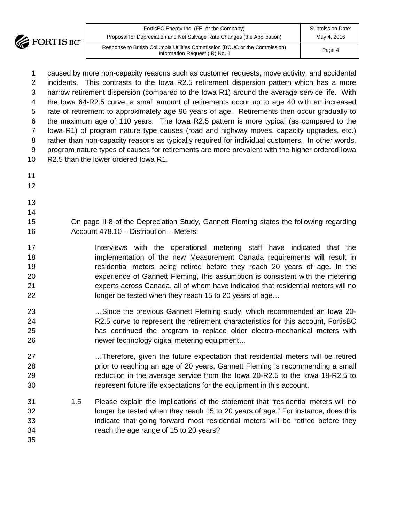

| FortisBC Energy Inc. (FEI or the Company)                                                                    | Submission Date: |
|--------------------------------------------------------------------------------------------------------------|------------------|
| Proposal for Depreciation and Net Salvage Rate Changes (the Application)                                     | May 4, 2016      |
| Response to British Columbia Utilities Commission (BCUC or the Commission)<br>Information Request (IR) No. 1 | Page 4           |

 caused by more non-capacity reasons such as customer requests, move activity, and accidental incidents. This contrasts to the Iowa R2.5 retirement dispersion pattern which has a more narrow retirement dispersion (compared to the Iowa R1) around the average service life. With the Iowa 64-R2.5 curve, a small amount of retirements occur up to age 40 with an increased rate of retirement to approximately age 90 years of age. Retirements then occur gradually to the maximum age of 110 years. The Iowa R2.5 pattern is more typical (as compared to the Iowa R1) of program nature type causes (road and highway moves, capacity upgrades, etc.) rather than non-capacity reasons as typically required for individual customers. In other words, program nature types of causes for retirements are more prevalent with the higher ordered Iowa R2.5 than the lower ordered Iowa R1.

- 
- 
- 

- On page II-8 of the Depreciation Study, Gannett Fleming states the following regarding Account 478.10 – Distribution – Meters:
- **Interviews** with the operational metering staff have indicated that the implementation of the new Measurement Canada requirements will result in residential meters being retired before they reach 20 years of age. In the experience of Gannett Fleming, this assumption is consistent with the metering experts across Canada, all of whom have indicated that residential meters will no **longer be tested when they reach 15 to 20 years of age...**
- …Since the previous Gannett Fleming study, which recommended an Iowa 20- R2.5 curve to represent the retirement characteristics for this account, FortisBC has continued the program to replace older electro-mechanical meters with newer technology digital metering equipment…
- …Therefore, given the future expectation that residential meters will be retired prior to reaching an age of 20 years, Gannett Fleming is recommending a small reduction in the average service from the Iowa 20-R2.5 to the Iowa 18-R2.5 to represent future life expectations for the equipment in this account.
- 1.5 Please explain the implications of the statement that "residential meters will no longer be tested when they reach 15 to 20 years of age." For instance, does this indicate that going forward most residential meters will be retired before they reach the age range of 15 to 20 years?
-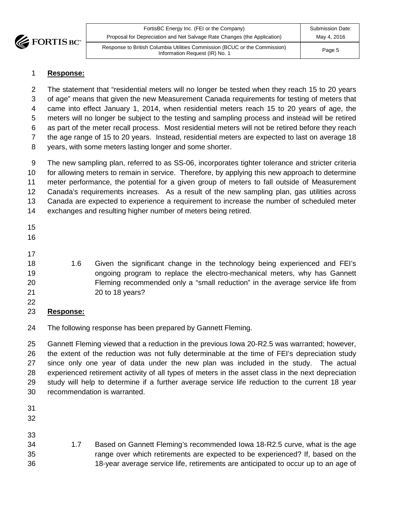

| FortisBC Energy Inc. (FEI or the Company)                                                                    | <b>Submission Date:</b> |
|--------------------------------------------------------------------------------------------------------------|-------------------------|
| Proposal for Depreciation and Net Salvage Rate Changes (the Application)                                     | May 4, 2016             |
| Response to British Columbia Utilities Commission (BCUC or the Commission)<br>Information Request (IR) No. 1 | Page 5                  |

#### **Response:**

 The statement that "residential meters will no longer be tested when they reach 15 to 20 years of age" means that given the new Measurement Canada requirements for testing of meters that came into effect January 1, 2014, when residential meters reach 15 to 20 years of age, the meters will no longer be subject to the testing and sampling process and instead will be retired as part of the meter recall process. Most residential meters will not be retired before they reach the age range of 15 to 20 years. Instead, residential meters are expected to last on average 18 years, with some meters lasting longer and some shorter.

 The new sampling plan, referred to as SS-06, incorporates tighter tolerance and stricter criteria for allowing meters to remain in service. Therefore, by applying this new approach to determine meter performance, the potential for a given group of meters to fall outside of Measurement Canada's requirements increases. As a result of the new sampling plan, gas utilities across Canada are expected to experience a requirement to increase the number of scheduled meter exchanges and resulting higher number of meters being retired.

- 
- 
- 

 1.6 Given the significant change in the technology being experienced and FEI's ongoing program to replace the electro-mechanical meters, why has Gannett Fleming recommended only a "small reduction" in the average service life from 20 to 18 years?

#### **Response:**

The following response has been prepared by Gannett Fleming.

 Gannett Fleming viewed that a reduction in the previous Iowa 20-R2.5 was warranted; however, the extent of the reduction was not fully determinable at the time of FEI's depreciation study since only one year of data under the new plan was included in the study. The actual experienced retirement activity of all types of meters in the asset class in the next depreciation study will help to determine if a further average service life reduction to the current 18 year recommendation is warranted.

- 
- 
- 
- 1.7 Based on Gannett Fleming's recommended Iowa 18-R2.5 curve, what is the age range over which retirements are expected to be experienced? If, based on the 18-year average service life, retirements are anticipated to occur up to an age of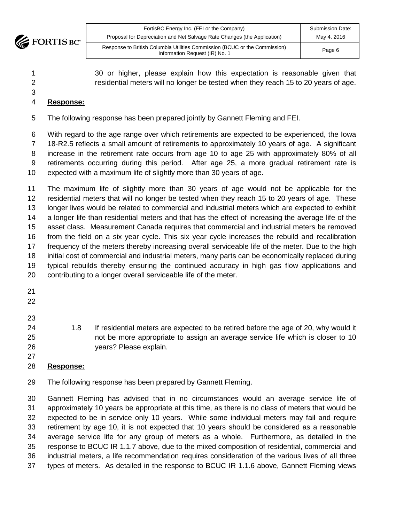

| FortisBC Energy Inc. (FEI or the Company)                                                                    | <b>Submission Date:</b> |
|--------------------------------------------------------------------------------------------------------------|-------------------------|
| Proposal for Depreciation and Net Salvage Rate Changes (the Application)                                     | May 4, 2016             |
| Response to British Columbia Utilities Commission (BCUC or the Commission)<br>Information Request (IR) No. 1 | Page 6                  |

 30 or higher, please explain how this expectation is reasonable given that residential meters will no longer be tested when they reach 15 to 20 years of age.

# **Response:**

The following response has been prepared jointly by Gannett Fleming and FEI.

 With regard to the age range over which retirements are expected to be experienced, the Iowa 18-R2.5 reflects a small amount of retirements to approximately 10 years of age. A significant increase in the retirement rate occurs from age 10 to age 25 with approximately 80% of all retirements occurring during this period. After age 25, a more gradual retirement rate is expected with a maximum life of slightly more than 30 years of age.

 The maximum life of slightly more than 30 years of age would not be applicable for the residential meters that will no longer be tested when they reach 15 to 20 years of age. These longer lives would be related to commercial and industrial meters which are expected to exhibit a longer life than residential meters and that has the effect of increasing the average life of the asset class. Measurement Canada requires that commercial and industrial meters be removed from the field on a six year cycle. This six year cycle increases the rebuild and recalibration 17 frequency of the meters thereby increasing overall serviceable life of the meter. Due to the high initial cost of commercial and industrial meters, many parts can be economically replaced during typical rebuilds thereby ensuring the continued accuracy in high gas flow applications and contributing to a longer overall serviceable life of the meter.

- 
- 
- 
- 

 1.8 If residential meters are expected to be retired before the age of 20, why would it not be more appropriate to assign an average service life which is closer to 10 years? Please explain.

# **Response:**

The following response has been prepared by Gannett Fleming.

 Gannett Fleming has advised that in no circumstances would an average service life of approximately 10 years be appropriate at this time, as there is no class of meters that would be expected to be in service only 10 years. While some individual meters may fail and require retirement by age 10, it is not expected that 10 years should be considered as a reasonable average service life for any group of meters as a whole. Furthermore, as detailed in the response to BCUC IR 1.1.7 above, due to the mixed composition of residential, commercial and industrial meters, a life recommendation requires consideration of the various lives of all three types of meters. As detailed in the response to BCUC IR 1.1.6 above, Gannett Fleming views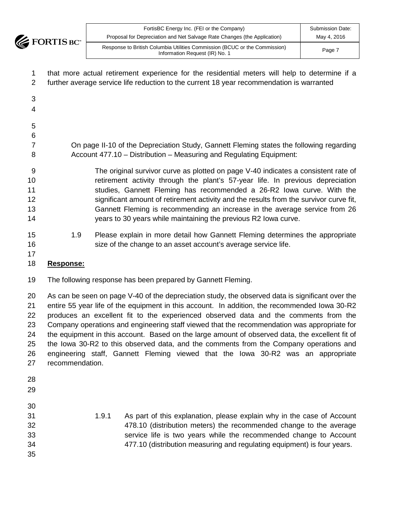**EXECUTE FORTIS BC** 

| 1  | that more actual retirement experience for the residential meters will help to determine if a |  |  |  |
|----|-----------------------------------------------------------------------------------------------|--|--|--|
| 2  | further average service life reduction to the current 18 year recommendation is warranted     |  |  |  |
| 3  |                                                                                               |  |  |  |
| 4  |                                                                                               |  |  |  |
| 5  |                                                                                               |  |  |  |
| 6  |                                                                                               |  |  |  |
| 7  | On page II-10 of the Depreciation Study, Gannett Fleming states the following regarding       |  |  |  |
| 8  | Account 477.10 - Distribution - Measuring and Regulating Equipment:                           |  |  |  |
| 9  | The original survivor curve as plotted on page V-40 indicates a consistent rate of            |  |  |  |
| 10 | retirement activity through the plant's 57-year life. In previous depreciation                |  |  |  |
| 11 | studies, Gannett Fleming has recommended a 26-R2 Iowa curve. With the                         |  |  |  |
| 12 | significant amount of retirement activity and the results from the survivor curve fit,        |  |  |  |
| 13 | Gannett Fleming is recommending an increase in the average service from 26                    |  |  |  |
| 14 | years to 30 years while maintaining the previous R2 lowa curve.                               |  |  |  |
| 15 | Please explain in more detail how Gannett Fleming determines the appropriate<br>1.9           |  |  |  |
| 16 | size of the change to an asset account's average service life.                                |  |  |  |
| 17 |                                                                                               |  |  |  |

# **Response:**

The following response has been prepared by Gannett Fleming.

 As can be seen on page V-40 of the depreciation study, the observed data is significant over the entire 55 year life of the equipment in this account. In addition, the recommended Iowa 30-R2 produces an excellent fit to the experienced observed data and the comments from the Company operations and engineering staff viewed that the recommendation was appropriate for the equipment in this account. Based on the large amount of observed data, the excellent fit of the Iowa 30-R2 to this observed data, and the comments from the Company operations and engineering staff, Gannett Fleming viewed that the Iowa 30-R2 was an appropriate recommendation.

- 
- 

 1.9.1 As part of this explanation, please explain why in the case of Account 478.10 (distribution meters) the recommended change to the average service life is two years while the recommended change to Account 477.10 (distribution measuring and regulating equipment) is four years.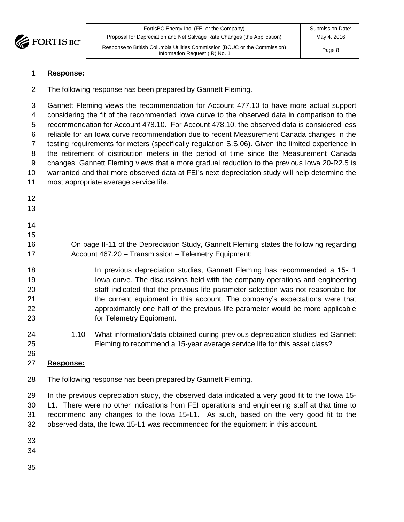

| FortisBC Energy Inc. (FEI or the Company)<br>Proposal for Depreciation and Net Salvage Rate Changes (the Application) | Submission Date:<br>May 4, 2016 |
|-----------------------------------------------------------------------------------------------------------------------|---------------------------------|
| Response to British Columbia Utilities Commission (BCUC or the Commission)<br>Information Request (IR) No. 1          | Page 8                          |

#### **Response:**

The following response has been prepared by Gannett Fleming.

 Gannett Fleming views the recommendation for Account 477.10 to have more actual support considering the fit of the recommended Iowa curve to the observed data in comparison to the recommendation for Account 478.10. For Account 478.10, the observed data is considered less reliable for an Iowa curve recommendation due to recent Measurement Canada changes in the testing requirements for meters (specifically regulation S.S.06). Given the limited experience in the retirement of distribution meters in the period of time since the Measurement Canada changes, Gannett Fleming views that a more gradual reduction to the previous Iowa 20-R2.5 is warranted and that more observed data at FEI's next depreciation study will help determine the most appropriate average service life. 

 On page II-11 of the Depreciation Study, Gannett Fleming states the following regarding Account 467.20 – Transmission – Telemetry Equipment:

- In previous depreciation studies, Gannett Fleming has recommended a 15-L1 Iowa curve. The discussions held with the company operations and engineering staff indicated that the previous life parameter selection was not reasonable for the current equipment in this account. The company's expectations were that approximately one half of the previous life parameter would be more applicable for Telemetry Equipment.
- 1.10 What information/data obtained during previous depreciation studies led Gannett Fleming to recommend a 15-year average service life for this asset class?

# **Response:**

The following response has been prepared by Gannett Fleming.

 In the previous depreciation study, the observed data indicated a very good fit to the Iowa 15- L1. There were no other indications from FEI operations and engineering staff at that time to recommend any changes to the Iowa 15-L1. As such, based on the very good fit to the observed data, the Iowa 15-L1 was recommended for the equipment in this account.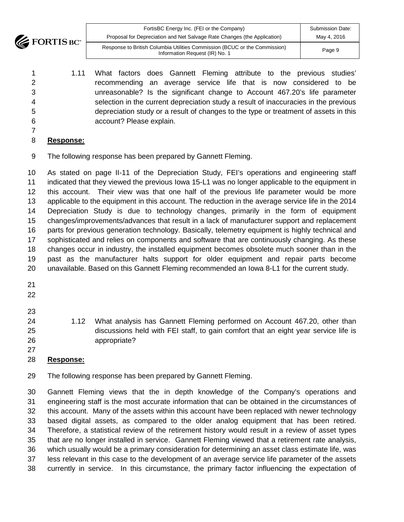**EXECUTE BOY** 

| FortisBC Energy Inc. (FEI or the Company)<br>Proposal for Depreciation and Net Salvage Rate Changes (the Application) | <b>Submission Date:</b><br>May 4, 2016 |
|-----------------------------------------------------------------------------------------------------------------------|----------------------------------------|
| Response to British Columbia Utilities Commission (BCUC or the Commission)<br>Information Request (IR) No. 1          | Page 9                                 |

- 1.11 What factors does Gannett Fleming attribute to the previous studies' recommending an average service life that is now considered to be unreasonable? Is the significant change to Account 467.20's life parameter selection in the current depreciation study a result of inaccuracies in the previous depreciation study or a result of changes to the type or treatment of assets in this account? Please explain.
- 
- **Response:**
- The following response has been prepared by Gannett Fleming.

 As stated on page II-11 of the Depreciation Study, FEI's operations and engineering staff indicated that they viewed the previous Iowa 15-L1 was no longer applicable to the equipment in this account. Their view was that one half of the previous life parameter would be more applicable to the equipment in this account. The reduction in the average service life in the 2014 Depreciation Study is due to technology changes, primarily in the form of equipment changes/improvements/advances that result in a lack of manufacturer support and replacement parts for previous generation technology. Basically, telemetry equipment is highly technical and sophisticated and relies on components and software that are continuously changing. As these changes occur in industry, the installed equipment becomes obsolete much sooner than in the past as the manufacturer halts support for older equipment and repair parts become unavailable. Based on this Gannett Fleming recommended an Iowa 8-L1 for the current study.

- 
- 
- 
- 1.12 What analysis has Gannett Fleming performed on Account 467.20, other than discussions held with FEI staff, to gain comfort that an eight year service life is appropriate?
- **Response:**
- The following response has been prepared by Gannett Fleming.

 Gannett Fleming views that the in depth knowledge of the Company's operations and engineering staff is the most accurate information that can be obtained in the circumstances of this account. Many of the assets within this account have been replaced with newer technology based digital assets, as compared to the older analog equipment that has been retired. Therefore, a statistical review of the retirement history would result in a review of asset types that are no longer installed in service. Gannett Fleming viewed that a retirement rate analysis, which usually would be a primary consideration for determining an asset class estimate life, was less relevant in this case to the development of an average service life parameter of the assets currently in service. In this circumstance, the primary factor influencing the expectation of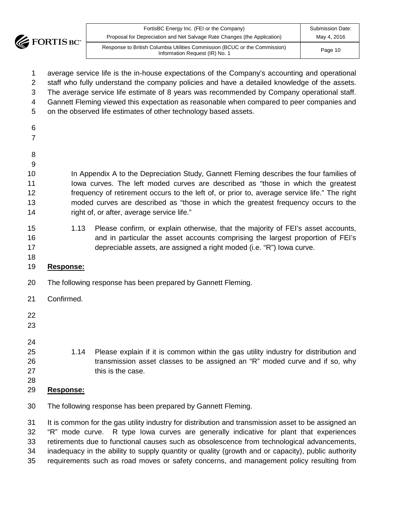

| FortisBC Energy Inc. (FEI or the Company)<br>Proposal for Depreciation and Net Salvage Rate Changes (the Application) | <b>Submission Date:</b><br>May 4, 2016 |
|-----------------------------------------------------------------------------------------------------------------------|----------------------------------------|
| Response to British Columbia Utilities Commission (BCUC or the Commission)<br>Information Request (IR) No. 1          | Page 10                                |

- average service life is the in-house expectations of the Company's accounting and operational
- staff who fully understand the company policies and have a detailed knowledge of the assets.
- The average service life estimate of 8 years was recommended by Company operational staff.
- Gannett Fleming viewed this expectation as reasonable when compared to peer companies and
- on the observed life estimates of other technology based assets.
- 
- 
- 
- 
- In Appendix A to the Depreciation Study, Gannett Fleming describes the four families of Iowa curves. The left moded curves are described as "those in which the greatest frequency of retirement occurs to the left of, or prior to, average service life." The right moded curves are described as "those in which the greatest frequency occurs to the 14 right of, or after, average service life."
- 1.13 Please confirm, or explain otherwise, that the majority of FEI's asset accounts, and in particular the asset accounts comprising the largest proportion of FEI's depreciable assets, are assigned a right moded (i.e. "R") Iowa curve.
- 

# **Response:**

- The following response has been prepared by Gannett Fleming.
- Confirmed.
- 
- 
- 

- 1.14 Please explain if it is common within the gas utility industry for distribution and transmission asset classes to be assigned an "R" moded curve and if so, why 27 this is the case.
- **Response:**
- The following response has been prepared by Gannett Fleming.

 It is common for the gas utility industry for distribution and transmission asset to be assigned an "R" mode curve. R type Iowa curves are generally indicative for plant that experiences retirements due to functional causes such as obsolescence from technological advancements, inadequacy in the ability to supply quantity or quality (growth and or capacity), public authority requirements such as road moves or safety concerns, and management policy resulting from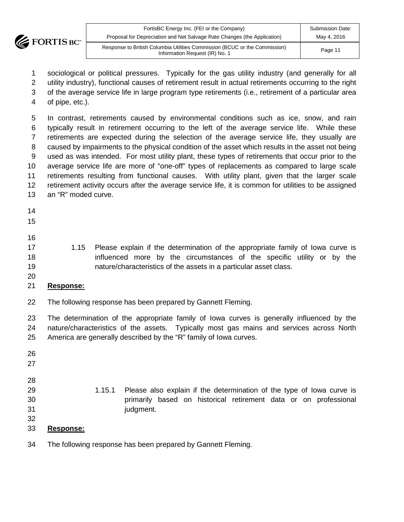

| FortisBC Energy Inc. (FEI or the Company)                                                                    | Submission Date: |
|--------------------------------------------------------------------------------------------------------------|------------------|
| Proposal for Depreciation and Net Salvage Rate Changes (the Application)                                     | May 4, 2016      |
| Response to British Columbia Utilities Commission (BCUC or the Commission)<br>Information Request (IR) No. 1 | Page 11          |

 sociological or political pressures. Typically for the gas utility industry (and generally for all utility industry), functional causes of retirement result in actual retirements occurring to the right

of the average service life in large program type retirements (i.e., retirement of a particular area

of pipe, etc.).

 In contrast, retirements caused by environmental conditions such as ice, snow, and rain typically result in retirement occurring to the left of the average service life. While these retirements are expected during the selection of the average service life, they usually are caused by impairments to the physical condition of the asset which results in the asset not being used as was intended. For most utility plant, these types of retirements that occur prior to the average service life are more of "one-off" types of replacements as compared to large scale retirements resulting from functional causes. With utility plant, given that the larger scale retirement activity occurs after the average service life, it is common for utilities to be assigned an "R" moded curve.

- 
- 
- 
- 1.15 Please explain if the determination of the appropriate family of Iowa curve is influenced more by the circumstances of the specific utility or by the nature/characteristics of the assets in a particular asset class.
- 

# **Response:**

The following response has been prepared by Gannett Fleming.

 The determination of the appropriate family of Iowa curves is generally influenced by the nature/characteristics of the assets. Typically most gas mains and services across North America are generally described by the "R" family of Iowa curves.

| 26 |                  |        |                                                                       |
|----|------------------|--------|-----------------------------------------------------------------------|
| 27 |                  |        |                                                                       |
| 28 |                  |        |                                                                       |
| 29 |                  | 1.15.1 | Please also explain if the determination of the type of lowa curve is |
| 30 |                  |        | primarily based on historical retirement data or on professional      |
| 31 |                  |        | judgment.                                                             |
| 32 |                  |        |                                                                       |
| 33 | <b>Response:</b> |        |                                                                       |
|    |                  |        |                                                                       |

The following response has been prepared by Gannett Fleming.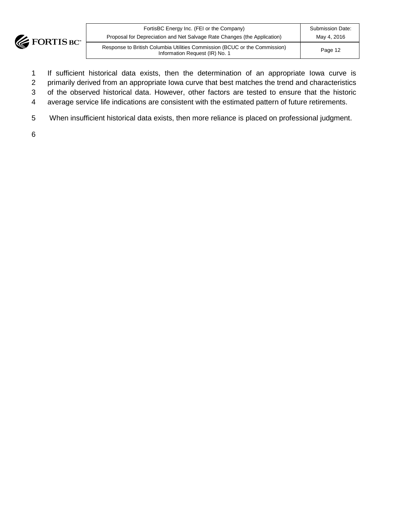

| FortisBC Energy Inc. (FEI or the Company)                                                                    | <b>Submission Date:</b> |  |  |  |
|--------------------------------------------------------------------------------------------------------------|-------------------------|--|--|--|
| Proposal for Depreciation and Net Salvage Rate Changes (the Application)                                     | May 4, 2016             |  |  |  |
| Response to British Columbia Utilities Commission (BCUC or the Commission)<br>Information Request (IR) No. 1 | Page 12                 |  |  |  |

- 1 If sufficient historical data exists, then the determination of an appropriate Iowa curve is
- 2 primarily derived from an appropriate Iowa curve that best matches the trend and characteristics
- 3 of the observed historical data. However, other factors are tested to ensure that the historic
- 4 average service life indications are consistent with the estimated pattern of future retirements.
- 5 When insufficient historical data exists, then more reliance is placed on professional judgment.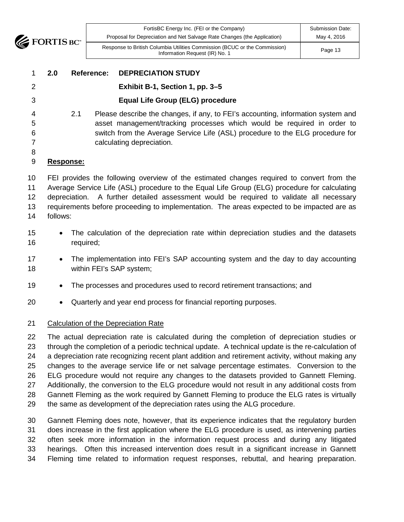

| FortisBC Energy Inc. (FEI or the Company)                                                                    | Submission Date: |
|--------------------------------------------------------------------------------------------------------------|------------------|
| Proposal for Depreciation and Net Salvage Rate Changes (the Application)                                     | May 4, 2016      |
| Response to British Columbia Utilities Commission (BCUC or the Commission)<br>Information Request (IR) No. 1 | Page 13          |

|                 | 2.0              | Reference: | <b>DEPRECIATION STUDY</b>                                                                                                                                   |
|-----------------|------------------|------------|-------------------------------------------------------------------------------------------------------------------------------------------------------------|
| 2               |                  |            | Exhibit B-1, Section 1, pp. 3–5                                                                                                                             |
| 3               |                  |            | <b>Equal Life Group (ELG) procedure</b>                                                                                                                     |
| 4<br>5          |                  | 2.1        | Please describe the changes, if any, to FEI's accounting, information system and<br>asset management/tracking processes which would be required in order to |
| 6               |                  |            | switch from the Average Service Life (ASL) procedure to the ELG procedure for                                                                               |
|                 |                  |            | calculating depreciation.                                                                                                                                   |
| 8               |                  |            |                                                                                                                                                             |
| 9               | <b>Response:</b> |            |                                                                                                                                                             |
| 10 <sup>°</sup> |                  |            | FEI provides the following overview of the estimated changes required to convert from the                                                                   |
| 11              |                  |            | Average Service Life (ASL) procedure to the Equal Life Group (ELG) procedure for calculating                                                                |
| 12              |                  |            | depreciation. A further detailed assessment would be required to validate all necessary                                                                     |
| 13              |                  |            | requirements before proceeding to implementation. The areas expected to be impacted are as                                                                  |

follows:

- The calculation of the depreciation rate within depreciation studies and the datasets required;
- The implementation into FEI's SAP accounting system and the day to day accounting within FEI's SAP system;
- The processes and procedures used to record retirement transactions; and
- Quarterly and year end process for financial reporting purposes.

#### Calculation of the Depreciation Rate

 The actual depreciation rate is calculated during the completion of depreciation studies or through the completion of a periodic technical update. A technical update is the re-calculation of a depreciation rate recognizing recent plant addition and retirement activity, without making any changes to the average service life or net salvage percentage estimates. Conversion to the ELG procedure would not require any changes to the datasets provided to Gannett Fleming. Additionally, the conversion to the ELG procedure would not result in any additional costs from Gannett Fleming as the work required by Gannett Fleming to produce the ELG rates is virtually the same as development of the depreciation rates using the ALG procedure.

 Gannett Fleming does note, however, that its experience indicates that the regulatory burden does increase in the first application where the ELG procedure is used, as intervening parties often seek more information in the information request process and during any litigated hearings. Often this increased intervention does result in a significant increase in Gannett Fleming time related to information request responses, rebuttal, and hearing preparation.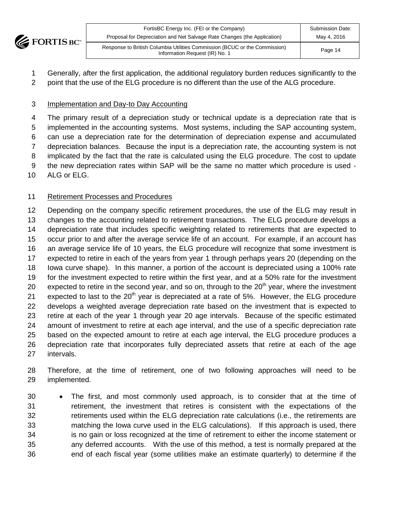

| FortisBC Energy Inc. (FEI or the Company)                                                                    | <b>Submission Date:</b> |
|--------------------------------------------------------------------------------------------------------------|-------------------------|
| Proposal for Depreciation and Net Salvage Rate Changes (the Application)                                     | May 4, 2016             |
| Response to British Columbia Utilities Commission (BCUC or the Commission)<br>Information Request (IR) No. 1 | Page 14                 |

- Generally, after the first application, the additional regulatory burden reduces significantly to the
- 2 point that the use of the ELG procedure is no different than the use of the ALG procedure.

#### Implementation and Day-to Day Accounting

 The primary result of a depreciation study or technical update is a depreciation rate that is implemented in the accounting systems. Most systems, including the SAP accounting system, can use a depreciation rate for the determination of depreciation expense and accumulated depreciation balances. Because the input is a depreciation rate, the accounting system is not implicated by the fact that the rate is calculated using the ELG procedure. The cost to update the new depreciation rates within SAP will be the same no matter which procedure is used - ALG or ELG.

# Retirement Processes and Procedures

12 Depending on the company specific retirement procedures, the use of the ELG may result in changes to the accounting related to retirement transactions. The ELG procedure develops a depreciation rate that includes specific weighting related to retirements that are expected to occur prior to and after the average service life of an account. For example, if an account has an average service life of 10 years, the ELG procedure will recognize that some investment is expected to retire in each of the years from year 1 through perhaps years 20 (depending on the Iowa curve shape). In this manner, a portion of the account is depreciated using a 100% rate for the investment expected to retire within the first year, and at a 50% rate for the investment 20 expected to retire in the second year, and so on, through to the  $20<sup>th</sup>$  year, where the investment 21 expected to last to the  $20<sup>th</sup>$  year is depreciated at a rate of 5%. However, the ELG procedure develops a weighted average depreciation rate based on the investment that is expected to retire at each of the year 1 through year 20 age intervals. Because of the specific estimated amount of investment to retire at each age interval, and the use of a specific depreciation rate based on the expected amount to retire at each age interval, the ELG procedure produces a depreciation rate that incorporates fully depreciated assets that retire at each of the age intervals.

 Therefore, at the time of retirement, one of two following approaches will need to be implemented.

 • The first, and most commonly used approach, is to consider that at the time of retirement, the investment that retires is consistent with the expectations of the retirements used within the ELG depreciation rate calculations (i.e., the retirements are matching the Iowa curve used in the ELG calculations). If this approach is used, there is no gain or loss recognized at the time of retirement to either the income statement or any deferred accounts. With the use of this method, a test is normally prepared at the end of each fiscal year (some utilities make an estimate quarterly) to determine if the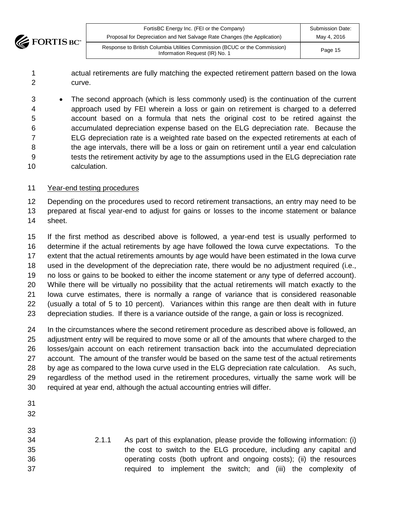

| FortisBC Energy Inc. (FEI or the Company)<br>Proposal for Depreciation and Net Salvage Rate Changes (the Application) | <b>Submission Date:</b><br>May 4, 2016 |  |  |  |
|-----------------------------------------------------------------------------------------------------------------------|----------------------------------------|--|--|--|
| Response to British Columbia Utilities Commission (BCUC or the Commission)<br>Information Request (IR) No. 1          | Page 15                                |  |  |  |

 actual retirements are fully matching the expected retirement pattern based on the Iowa curve.

 • The second approach (which is less commonly used) is the continuation of the current approach used by FEI wherein a loss or gain on retirement is charged to a deferred account based on a formula that nets the original cost to be retired against the accumulated depreciation expense based on the ELG depreciation rate. Because the ELG depreciation rate is a weighted rate based on the expected retirements at each of the age intervals, there will be a loss or gain on retirement until a year end calculation tests the retirement activity by age to the assumptions used in the ELG depreciation rate calculation.

#### Year-end testing procedures

12 Depending on the procedures used to record retirement transactions, an entry may need to be prepared at fiscal year-end to adjust for gains or losses to the income statement or balance sheet.

 If the first method as described above is followed, a year-end test is usually performed to determine if the actual retirements by age have followed the Iowa curve expectations. To the extent that the actual retirements amounts by age would have been estimated in the Iowa curve used in the development of the depreciation rate, there would be no adjustment required (i.e., no loss or gains to be booked to either the income statement or any type of deferred account). While there will be virtually no possibility that the actual retirements will match exactly to the Iowa curve estimates, there is normally a range of variance that is considered reasonable (usually a total of 5 to 10 percent). Variances within this range are then dealt with in future depreciation studies. If there is a variance outside of the range, a gain or loss is recognized.

 In the circumstances where the second retirement procedure as described above is followed, an adjustment entry will be required to move some or all of the amounts that where charged to the losses/gain account on each retirement transaction back into the accumulated depreciation account. The amount of the transfer would be based on the same test of the actual retirements by age as compared to the Iowa curve used in the ELG depreciation rate calculation. As such, regardless of the method used in the retirement procedures, virtually the same work will be required at year end, although the actual accounting entries will differ.

- 
- 
- 2.1.1 As part of this explanation, please provide the following information: (i) the cost to switch to the ELG procedure, including any capital and operating costs (both upfront and ongoing costs); (ii) the resources required to implement the switch; and (iii) the complexity of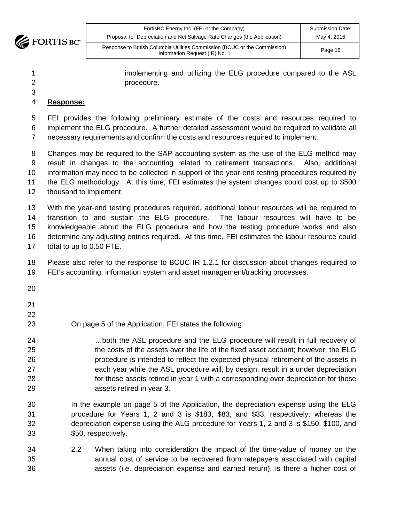

| FortisBC Energy Inc. (FEI or the Company)                                                                    | <b>Submission Date:</b> |
|--------------------------------------------------------------------------------------------------------------|-------------------------|
| Proposal for Depreciation and Net Salvage Rate Changes (the Application)                                     | May 4, 2016             |
| Response to British Columbia Utilities Commission (BCUC or the Commission)<br>Information Request (IR) No. 1 | Page 16                 |

| implementing and utilizing the ELG procedure compared to the ASL |  |  |  |  |
|------------------------------------------------------------------|--|--|--|--|
| procedure.                                                       |  |  |  |  |

#### **Response:**

 FEI provides the following preliminary estimate of the costs and resources required to implement the ELG procedure. A further detailed assessment would be required to validate all necessary requirements and confirm the costs and resources required to implement.

 Changes may be required to the SAP accounting system as the use of the ELG method may result in changes to the accounting related to retirement transactions. Also, additional information may need to be collected in support of the year-end testing procedures required by the ELG methodology. At this time, FEI estimates the system changes could cost up to \$500 thousand to implement.

 With the year-end testing procedures required, additional labour resources will be required to transition to and sustain the ELG procedure. The labour resources will have to be knowledgeable about the ELG procedure and how the testing procedure works and also determine any adjusting entries required. At this time, FEI estimates the labour resource could total to up to 0.50 FTE.

 Please also refer to the response to BCUC IR 1.2.1 for discussion about changes required to FEI's accounting, information system and asset management/tracking processes.

- 
- On page 5 of the Application, FEI states the following:
- …both the ASL procedure and the ELG procedure will result in full recovery of the costs of the assets over the life of the fixed asset account; however, the ELG procedure is intended to reflect the expected physical retirement of the assets in each year while the ASL procedure will, by design, result in a under depreciation for those assets retired in year 1 with a corresponding over depreciation for those assets retired in year 3.
- In the example on page 5 of the Application, the depreciation expense using the ELG procedure for Years 1, 2 and 3 is \$183, \$83, and \$33, respectively; whereas the depreciation expense using the ALG procedure for Years 1, 2 and 3 is \$150, \$100, and \$50, respectively.
- 2.2 When taking into consideration the impact of the time-value of money on the annual cost of service to be recovered from ratepayers associated with capital assets (i.e. depreciation expense and earned return), is there a higher cost of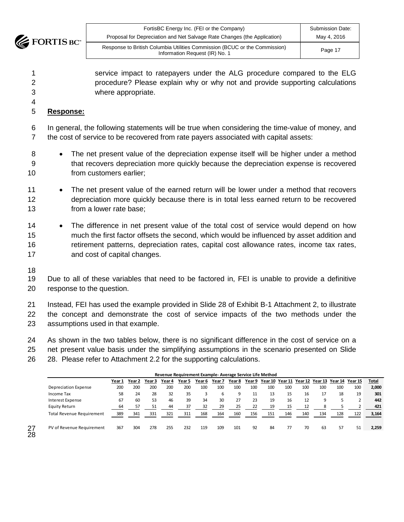

| FortisBC Energy Inc. (FEI or the Company)                                                                    | <b>Submission Date:</b> |
|--------------------------------------------------------------------------------------------------------------|-------------------------|
| Proposal for Depreciation and Net Salvage Rate Changes (the Application)                                     | May 4, 2016             |
| Response to British Columbia Utilities Commission (BCUC or the Commission)<br>Information Request (IR) No. 1 | Page 17                 |

 service impact to ratepayers under the ALG procedure compared to the ELG procedure? Please explain why or why not and provide supporting calculations where appropriate.

#### **Response:**

 In general, the following statements will be true when considering the time-value of money, and the cost of service to be recovered from rate payers associated with capital assets:

- The net present value of the depreciation expense itself will be higher under a method that recovers depreciation more quickly because the depreciation expense is recovered from customers earlier;
- The net present value of the earned return will be lower under a method that recovers depreciation more quickly because there is in total less earned return to be recovered from a lower rate base;
- 14 The difference in net present value of the total cost of service would depend on how much the first factor offsets the second, which would be influenced by asset addition and retirement patterns, depreciation rates, capital cost allowance rates, income tax rates, and cost of capital changes.
- 

Due to all of these variables that need to be factored in, FEI is unable to provide a definitive response to the question.

 Instead, FEI has used the example provided in Slide 28 of Exhibit B-1 Attachment 2, to illustrate the concept and demonstrate the cost of service impacts of the two methods under the assumptions used in that example.

 As shown in the two tables below, there is no significant difference in the cost of service on a net present value basis under the simplifying assumptions in the scenario presented on Slide

28. Please refer to Attachment 2.2 for the supporting calculations.

| Revenue Requirement Example-Average Service Life Method |        |            |        |        |        |        |        |                 |     |     |     |     |     |                                                        |     |              |
|---------------------------------------------------------|--------|------------|--------|--------|--------|--------|--------|-----------------|-----|-----|-----|-----|-----|--------------------------------------------------------|-----|--------------|
|                                                         | Year 1 | Year 2     | Year 3 | Year 4 | Year 5 | Year 6 | Year 7 | Year 8          |     |     |     |     |     | Year 9 Year 10 Year 11 Year 12 Year 13 Year 14 Year 15 |     | <b>Total</b> |
| Depreciation Expense                                    | 200    | <b>200</b> | 200    | 200    | 200    | 100    | 100    | 10 <sup>c</sup> | 100 | 100 | 100 | 100 | 100 | 100                                                    | 100 | 2,000        |
| Income Tax                                              | 58     | 24         | 28     | 32     | 35     |        | b      | 9               | 11  | 13  | 15  | 16  | 17  | 18                                                     | 19  | 301          |
| <b>Interest Expense</b>                                 | 67     | 60         | 53     | 46     | 39     | 34     | 30     | 27              | 23  | 19  | 16  | 12  | 9   |                                                        | C   | 442          |
| Equity Return                                           | 64     | 57         | 51     | 44     | 37     | 32     | 29     | 25              | 22  | 19  | 15  | 12  | 8   |                                                        |     | 421          |
| <b>Total Revenue Requirement</b>                        | 389    | 341        | 331    | 321    | 311    | 168    | 164    | 160             | 156 | 151 | 146 | 140 | 134 | 128                                                    | 122 | 3,164        |
| PV of Revenue Requirement                               | 367    | 304        | 278    | 255    | 232    | 119    | 109    | 101             | 92  | 84  | 77  | 70  | 63  | 57                                                     | 51  | 2.259        |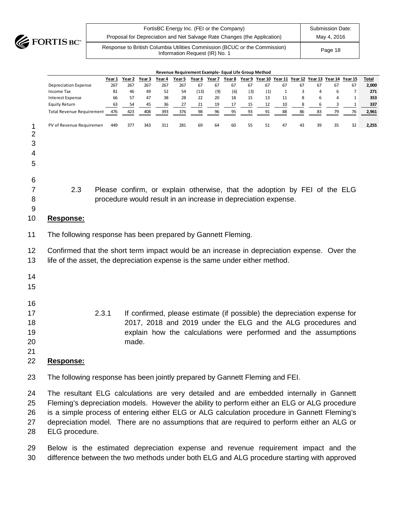

| FortisBC Energy Inc. (FEI or the Company)<br>Proposal for Depreciation and Net Salvage Rate Changes (the Application) | <b>Submission Date:</b><br>May 4, 2016 |
|-----------------------------------------------------------------------------------------------------------------------|----------------------------------------|
| Response to British Columbia Utilities Commission (BCUC or the Commission)<br>Information Request (IR) No. 1          | Page 18                                |

|                                    |                                                                                                                                                                                                                                                                                                                                                                                                         |           |           |           |                                                                                                                                                                                                             | Revenue Requirement Example- Equal Life Group Method |            |           |           |           |           |                    |         |         |                                                |             |              |
|------------------------------------|---------------------------------------------------------------------------------------------------------------------------------------------------------------------------------------------------------------------------------------------------------------------------------------------------------------------------------------------------------------------------------------------------------|-----------|-----------|-----------|-------------------------------------------------------------------------------------------------------------------------------------------------------------------------------------------------------------|------------------------------------------------------|------------|-----------|-----------|-----------|-----------|--------------------|---------|---------|------------------------------------------------|-------------|--------------|
|                                    |                                                                                                                                                                                                                                                                                                                                                                                                         | Year 1    | Year 2    | Year 3    | Year 4                                                                                                                                                                                                      | Year 5                                               | Year 6     | Year 7    | Year 8    |           |           |                    |         |         | Year 9 Year 10 Year 11 Year 12 Year 13 Year 14 | Year 15     | Total        |
|                                    | <b>Depreciation Expense</b><br>Income Tax                                                                                                                                                                                                                                                                                                                                                               | 267<br>81 | 267<br>46 | 267<br>49 | 267<br>52                                                                                                                                                                                                   | 267<br>54                                            | 67<br>(13) | 67<br>(9) | 67<br>(6) | 67<br>(3) | 67<br>(1) | 67<br>$\mathbf{1}$ | 67<br>3 | 67<br>4 | 67<br>6                                        | 67<br>7     | 2,000<br>271 |
|                                    | <b>Interest Expense</b>                                                                                                                                                                                                                                                                                                                                                                                 | 66        | 57        | 47        | 38                                                                                                                                                                                                          | 28                                                   | 22         | 20        | 18        | 15        | 13        | 11                 | 8       | 6       | 4                                              | $\mathbf 1$ | 353          |
|                                    | <b>Equity Return</b>                                                                                                                                                                                                                                                                                                                                                                                    | 63        | 54        | 45        | 36                                                                                                                                                                                                          | 27                                                   | 21         | 19        | 17        | 15        | 12        | 10                 | 8       | 6       | 3                                              | $\mathbf 1$ | 337          |
|                                    | <b>Total Revenue Requirement</b>                                                                                                                                                                                                                                                                                                                                                                        | 476       | 423       | 408       | 393                                                                                                                                                                                                         | 376                                                  | 98         | 96        | 95        | 93        | 91        | 88                 | 86      | 83      | 79                                             | 76          | 2,961        |
| 1<br>$\overline{c}$<br>3<br>4<br>5 | PV of Revenue Requiremen                                                                                                                                                                                                                                                                                                                                                                                | 449       | 377       | 343       | 311                                                                                                                                                                                                         | 281                                                  | 69         | 64        | 60        | 55        | 51        | 47                 | 43      | 39      | 35                                             | 32          | 2,255        |
| 6<br>7<br>8<br>9<br>10             | 2.3<br>Response:                                                                                                                                                                                                                                                                                                                                                                                        |           |           |           | Please confirm, or explain otherwise, that the adoption by FEI of the ELG<br>procedure would result in an increase in depreciation expense.                                                                 |                                                      |            |           |           |           |           |                    |         |         |                                                |             |              |
| 11                                 | The following response has been prepared by Gannett Fleming.                                                                                                                                                                                                                                                                                                                                            |           |           |           |                                                                                                                                                                                                             |                                                      |            |           |           |           |           |                    |         |         |                                                |             |              |
| 12<br>13                           | Confirmed that the short term impact would be an increase in depreciation expense. Over the<br>life of the asset, the depreciation expense is the same under either method.                                                                                                                                                                                                                             |           |           |           |                                                                                                                                                                                                             |                                                      |            |           |           |           |           |                    |         |         |                                                |             |              |
| 14<br>15                           |                                                                                                                                                                                                                                                                                                                                                                                                         |           |           |           |                                                                                                                                                                                                             |                                                      |            |           |           |           |           |                    |         |         |                                                |             |              |
| 16<br>17<br>18<br>19<br>20<br>21   | 2.3.1                                                                                                                                                                                                                                                                                                                                                                                                   |           | made.     |           | If confirmed, please estimate (if possible) the depreciation expense for<br>2017, 2018 and 2019 under the ELG and the ALG procedures and<br>explain how the calculations were performed and the assumptions |                                                      |            |           |           |           |           |                    |         |         |                                                |             |              |
| 22                                 | <b>Response:</b>                                                                                                                                                                                                                                                                                                                                                                                        |           |           |           |                                                                                                                                                                                                             |                                                      |            |           |           |           |           |                    |         |         |                                                |             |              |
| 23                                 | The following response has been jointly prepared by Gannett Fleming and FEI.                                                                                                                                                                                                                                                                                                                            |           |           |           |                                                                                                                                                                                                             |                                                      |            |           |           |           |           |                    |         |         |                                                |             |              |
| 24<br>25<br>26<br>27<br>28         | The resultant ELG calculations are very detailed and are embedded internally in Gannett<br>Fleming's depreciation models. However the ability to perform either an ELG or ALG procedure<br>is a simple process of entering either ELG or ALG calculation procedure in Gannett Fleming's<br>depreciation model. There are no assumptions that are required to perform either an ALG or<br>ELG procedure. |           |           |           |                                                                                                                                                                                                             |                                                      |            |           |           |           |           |                    |         |         |                                                |             |              |

 Below is the estimated depreciation expense and revenue requirement impact and the difference between the two methods under both ELG and ALG procedure starting with approved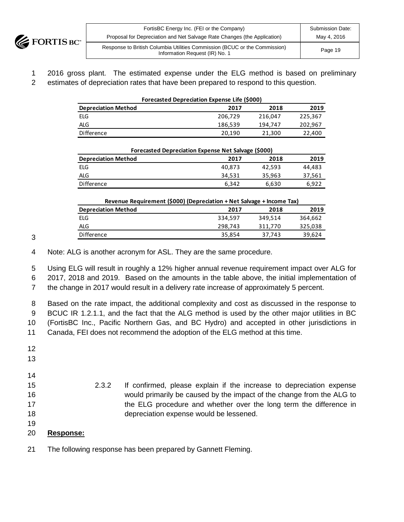

| FortisBC Energy Inc. (FEI or the Company)                                                                    | <b>Submission Date:</b> |
|--------------------------------------------------------------------------------------------------------------|-------------------------|
| Proposal for Depreciation and Net Salvage Rate Changes (the Application)                                     | May 4, 2016             |
| Response to British Columbia Utilities Commission (BCUC or the Commission)<br>Information Request (IR) No. 1 | Page 19                 |

1 2016 gross plant. The estimated expense under the ELG method is based on preliminary 2 estimates of depreciation rates that have been prepared to respond to this question.

| <b>Forecasted Depreciation Expense Life (\$000)</b> |         |         |         |  |  |  |
|-----------------------------------------------------|---------|---------|---------|--|--|--|
| <b>Depreciation Method</b><br>2019<br>2018<br>2017  |         |         |         |  |  |  |
| ELG                                                 | 206,729 | 216,047 | 225,367 |  |  |  |
| ALG                                                 | 186,539 | 194.747 | 202,967 |  |  |  |
| <b>Difference</b>                                   | 20.190  | 21,300  | 22,400  |  |  |  |

| Forecasted Depreciation Expense Net Salvage (\$000) |        |        |        |  |  |
|-----------------------------------------------------|--------|--------|--------|--|--|
| <b>Depreciation Method</b><br>2018<br>2017          |        |        |        |  |  |
| ELG                                                 | 40.873 | 42.593 | 44.483 |  |  |
| <b>ALG</b>                                          | 34,531 | 35,963 | 37,561 |  |  |
| Difference                                          | 6.342  | 6,630  | 6.922  |  |  |

| Revenue Requirement (\$000) (Depreciation + Net Salvage + Income Tax) |         |         |         |  |
|-----------------------------------------------------------------------|---------|---------|---------|--|
| <b>Depreciation Method</b>                                            | 2017    | 2018    | 2019    |  |
| ELG                                                                   | 334.597 | 349.514 | 364.662 |  |
| ALG                                                                   | 298,743 | 311,770 | 325,038 |  |
| Difference                                                            | 35,854  | 37,743  | 39.624  |  |

3

4 Note: ALG is another acronym for ASL. They are the same procedure.

5 Using ELG will result in roughly a 12% higher annual revenue requirement impact over ALG for 6 2017, 2018 and 2019. Based on the amounts in the table above, the initial implementation of

7 the change in 2017 would result in a delivery rate increase of approximately 5 percent.

 Based on the rate impact, the additional complexity and cost as discussed in the response to BCUC IR 1.2.1.1, and the fact that the ALG method is used by the other major utilities in BC (FortisBC Inc., Pacific Northern Gas, and BC Hydro) and accepted in other jurisdictions in Canada, FEI does not recommend the adoption of the ELG method at this time.

- 12 13 14 15 2.3.2 If confirmed, please explain if the increase to depreciation expense 16 would primarily be caused by the impact of the change from the ALG to 17 the ELG procedure and whether over the long term the difference in 18 depreciation expense would be lessened. 19 20 **Response:**
- 21 The following response has been prepared by Gannett Fleming.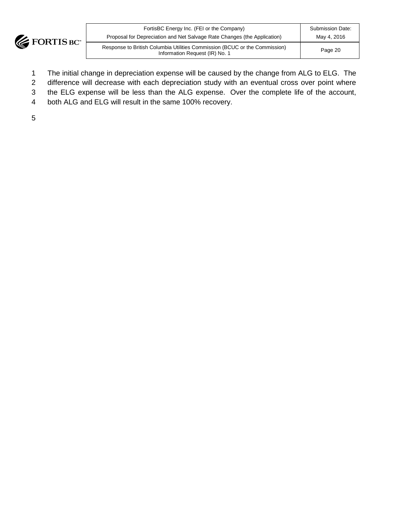

| FortisBC Energy Inc. (FEI or the Company)                                                                    | <b>Submission Date:</b> |
|--------------------------------------------------------------------------------------------------------------|-------------------------|
| Proposal for Depreciation and Net Salvage Rate Changes (the Application)                                     | May 4, 2016             |
| Response to British Columbia Utilities Commission (BCUC or the Commission)<br>Information Request (IR) No. 1 | Page 20                 |

- 1 The initial change in depreciation expense will be caused by the change from ALG to ELG. The
- 2 difference will decrease with each depreciation study with an eventual cross over point where
- 3 the ELG expense will be less than the ALG expense. Over the complete life of the account,
- 4 both ALG and ELG will result in the same 100% recovery.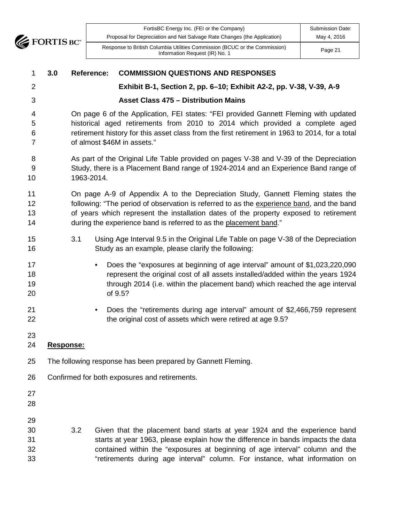**EXPORTISE** 

| FortisBC Energy Inc. (FEI or the Company)                                                                    | Submission Date: |
|--------------------------------------------------------------------------------------------------------------|------------------|
| Proposal for Depreciation and Net Salvage Rate Changes (the Application)                                     | May 4, 2016      |
| Response to British Columbia Utilities Commission (BCUC or the Commission)<br>Information Request (IR) No. 1 | Page 21          |

| 3.0 | <b>Reference:</b> | <b>COMMISSION QUESTIONS AND RESPONSES</b>                                                                                                                                                                                                                                                                                                  |
|-----|-------------------|--------------------------------------------------------------------------------------------------------------------------------------------------------------------------------------------------------------------------------------------------------------------------------------------------------------------------------------------|
|     |                   | Exhibit B-1, Section 2, pp. 6-10; Exhibit A2-2, pp. V-38, V-39, A-9                                                                                                                                                                                                                                                                        |
|     |                   | <b>Asset Class 475 - Distribution Mains</b>                                                                                                                                                                                                                                                                                                |
|     |                   | On page 6 of the Application, FEI states: "FEI provided Gannett Fleming with updated<br>historical aged retirements from 2010 to 2014 which provided a complete aged<br>retirement history for this asset class from the first retirement in 1963 to 2014, for a total<br>of almost \$46M in assets."                                      |
|     | 1963-2014.        | As part of the Original Life Table provided on pages V-38 and V-39 of the Depreciation<br>Study, there is a Placement Band range of 1924-2014 and an Experience Band range of                                                                                                                                                              |
|     |                   | On page A-9 of Appendix A to the Depreciation Study, Gannett Fleming states the<br>following: "The period of observation is referred to as the experience band, and the band<br>of years which represent the installation dates of the property exposed to retirement<br>during the experience band is referred to as the placement band." |
|     | 3.1               | Using Age Interval 9.5 in the Original Life Table on page V-38 of the Depreciation<br>Study as an example, please clarify the following:                                                                                                                                                                                                   |
|     |                   | Does the "exposures at beginning of age interval" amount of \$1,023,220,090<br>$\bullet$<br>represent the original cost of all assets installed/added within the years 1924<br>through 2014 (i.e. within the placement band) which reached the age interval<br>of 9.5?                                                                     |
|     |                   | Does the "retirements during age interval" amount of \$2,466,759 represent<br>$\bullet$<br>the original cost of assets which were retired at age 9.5?                                                                                                                                                                                      |
|     |                   |                                                                                                                                                                                                                                                                                                                                            |
|     |                   | The following response has been prepared by Gannett Fleming.                                                                                                                                                                                                                                                                               |
|     |                   | Confirmed for both exposures and retirements.                                                                                                                                                                                                                                                                                              |
|     |                   |                                                                                                                                                                                                                                                                                                                                            |
|     | 3.2               | Given that the placement band starts at year 1924 and the experience band<br>starts at year 1963, please explain how the difference in bands impacts the data<br>contained within the "exposures at beginning of age interval" column and the<br>"retirements during age interval" column. For instance, what information on               |
|     |                   | Response:                                                                                                                                                                                                                                                                                                                                  |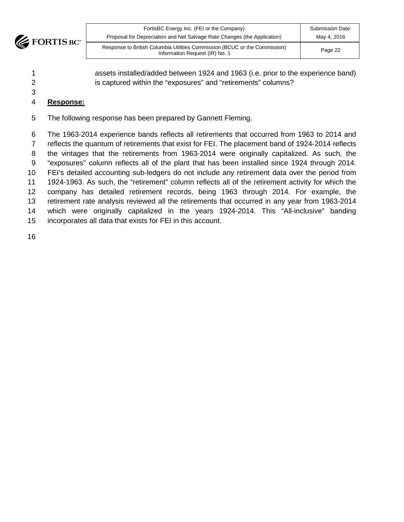

| FortisBC Energy Inc. (FEI or the Company)                                                                    | <b>Submission Date:</b> |
|--------------------------------------------------------------------------------------------------------------|-------------------------|
| Proposal for Depreciation and Net Salvage Rate Changes (the Application)                                     | May 4, 2016             |
| Response to British Columbia Utilities Commission (BCUC or the Commission)<br>Information Request (IR) No. 1 | Page 22                 |

 assets installed/added between 1924 and 1963 (i.e. prior to the experience band) 2 is captured within the "exposures" and "retirements" columns?

# **Response:**

The following response has been prepared by Gannett Fleming.

 The 1963-2014 experience bands reflects all retirements that occurred from 1963 to 2014 and reflects the quantum of retirements that exist for FEI. The placement band of 1924-2014 reflects the vintages that the retirements from 1963-2014 were originally capitalized. As such, the "exposures" column reflects all of the plant that has been installed since 1924 through 2014. FEI's detailed accounting sub-ledgers do not include any retirement data over the period from 1924-1963. As such, the "retirement" column reflects all of the retirement activity for which the company has detailed retirement records, being 1963 through 2014. For example, the retirement rate analysis reviewed all the retirements that occurred in any year from 1963-2014 which were originally capitalized in the years 1924-2014. This "All-inclusive" banding incorporates all data that exists for FEI in this account.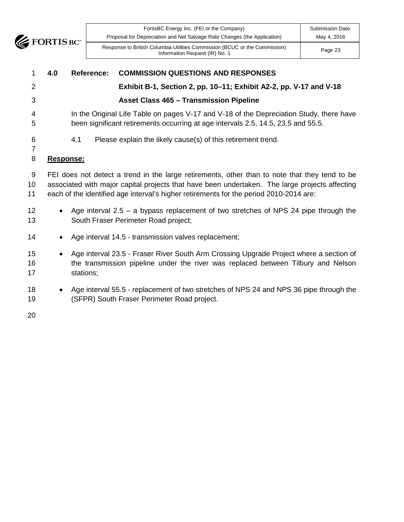

| FortisBC Energy Inc. (FEI or the Company)<br>Proposal for Depreciation and Net Salvage Rate Changes (the Application) | <b>Submission Date:</b><br>May 4, 2016 |
|-----------------------------------------------------------------------------------------------------------------------|----------------------------------------|
| Response to British Columbia Utilities Commission (BCUC or the Commission)<br>Information Request (IR) No. 1          | Page 23                                |

| 1                   | 4.0       | Reference: | <b>COMMISSION QUESTIONS AND RESPONSES</b>                                                                                                                                                                                                                                                 |
|---------------------|-----------|------------|-------------------------------------------------------------------------------------------------------------------------------------------------------------------------------------------------------------------------------------------------------------------------------------------|
| $\overline{2}$      |           |            | Exhibit B-1, Section 2, pp. 10-11; Exhibit A2-2, pp. V-17 and V-18                                                                                                                                                                                                                        |
| 3                   |           |            | <b>Asset Class 465 - Transmission Pipeline</b>                                                                                                                                                                                                                                            |
| 4<br>5              |           |            | In the Original Life Table on pages V-17 and V-18 of the Depreciation Study, there have<br>been significant retirements occurring at age intervals 2.5, 14.5, 23.5 and 55.5.                                                                                                              |
| 6<br>$\overline{7}$ |           | 4.1        | Please explain the likely cause(s) of this retirement trend.                                                                                                                                                                                                                              |
| 8                   | Response: |            |                                                                                                                                                                                                                                                                                           |
| 9<br>10<br>11       |           |            | FEI does not detect a trend in the large retirements, other than to note that they tend to be<br>associated with major capital projects that have been undertaken. The large projects affecting<br>each of the identified age interval's higher retirements for the period 2010-2014 are: |
| 12<br>13            | $\bullet$ |            | Age interval $2.5 - a$ bypass replacement of two stretches of NPS 24 pipe through the<br>South Fraser Perimeter Road project;                                                                                                                                                             |
| 14                  |           |            | Age interval 14.5 - transmission valves replacement;                                                                                                                                                                                                                                      |
| 15<br>16<br>17      | $\bullet$ | stations;  | Age interval 23.5 - Fraser River South Arm Crossing Upgrade Project where a section of<br>the transmission pipeline under the river was replaced between Tilbury and Nelson                                                                                                               |
| 18<br>19            |           |            | Age interval 55.5 - replacement of two stretches of NPS 24 and NPS 36 pipe through the<br>(SFPR) South Fraser Perimeter Road project.                                                                                                                                                     |
| 20                  |           |            |                                                                                                                                                                                                                                                                                           |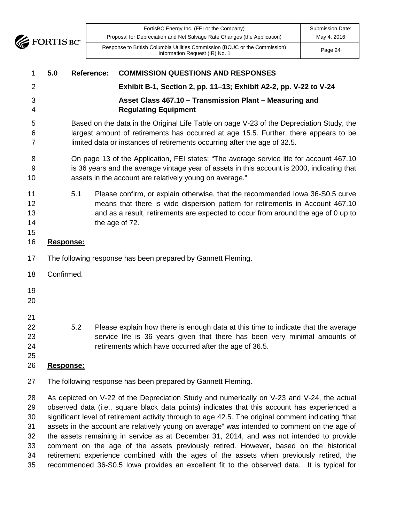

| FortisBC Energy Inc. (FEI or the Company)<br>Proposal for Depreciation and Net Salvage Rate Changes (the Application) | <b>Submission Date:</b><br>May 4, 2016 |
|-----------------------------------------------------------------------------------------------------------------------|----------------------------------------|
| Response to British Columbia Utilities Commission (BCUC or the Commission)<br>Information Request (IR) No. 1          | Page 24                                |

| 1                                | 5.0              | <b>Reference:</b> | <b>COMMISSION QUESTIONS AND RESPONSES</b>                                                                                                                                                                                                                                                                                                                                                                                                                                                                                                                                              |
|----------------------------------|------------------|-------------------|----------------------------------------------------------------------------------------------------------------------------------------------------------------------------------------------------------------------------------------------------------------------------------------------------------------------------------------------------------------------------------------------------------------------------------------------------------------------------------------------------------------------------------------------------------------------------------------|
| 2                                |                  |                   | Exhibit B-1, Section 2, pp. 11-13; Exhibit A2-2, pp. V-22 to V-24                                                                                                                                                                                                                                                                                                                                                                                                                                                                                                                      |
| 3<br>4                           |                  |                   | Asset Class 467.10 - Transmission Plant - Measuring and<br><b>Regulating Equipment</b>                                                                                                                                                                                                                                                                                                                                                                                                                                                                                                 |
| 5<br>6<br>7                      |                  |                   | Based on the data in the Original Life Table on page V-23 of the Depreciation Study, the<br>largest amount of retirements has occurred at age 15.5. Further, there appears to be<br>limited data or instances of retirements occurring after the age of 32.5.                                                                                                                                                                                                                                                                                                                          |
| 8<br>9<br>10                     |                  |                   | On page 13 of the Application, FEI states: "The average service life for account 467.10<br>is 36 years and the average vintage year of assets in this account is 2000, indicating that<br>assets in the account are relatively young on average."                                                                                                                                                                                                                                                                                                                                      |
| 11<br>12<br>13<br>14<br>15       |                  | 5.1               | Please confirm, or explain otherwise, that the recommended lowa 36-S0.5 curve<br>means that there is wide dispersion pattern for retirements in Account 467.10<br>and as a result, retirements are expected to occur from around the age of 0 up to<br>the age of 72.                                                                                                                                                                                                                                                                                                                  |
| 16                               | Response:        |                   |                                                                                                                                                                                                                                                                                                                                                                                                                                                                                                                                                                                        |
| 17                               |                  |                   | The following response has been prepared by Gannett Fleming.                                                                                                                                                                                                                                                                                                                                                                                                                                                                                                                           |
| 18                               | Confirmed.       |                   |                                                                                                                                                                                                                                                                                                                                                                                                                                                                                                                                                                                        |
| 19<br>20                         |                  |                   |                                                                                                                                                                                                                                                                                                                                                                                                                                                                                                                                                                                        |
| 21<br>22<br>23<br>24<br>25<br>26 | <u>Response:</u> | 5.2               | Please explain how there is enough data at this time to indicate that the average<br>service life is 36 years given that there has been very minimal amounts of<br>retirements which have occurred after the age of 36.5.                                                                                                                                                                                                                                                                                                                                                              |
| 27                               |                  |                   | The following response has been prepared by Gannett Fleming.                                                                                                                                                                                                                                                                                                                                                                                                                                                                                                                           |
| 28<br>29<br>30<br>31<br>32<br>33 |                  |                   | As depicted on V-22 of the Depreciation Study and numerically on V-23 and V-24, the actual<br>observed data (i.e., square black data points) indicates that this account has experienced a<br>significant level of retirement activity through to age 42.5. The original comment indicating "that<br>assets in the account are relatively young on average" was intended to comment on the age of<br>the assets remaining in service as at December 31, 2014, and was not intended to provide<br>comment on the age of the assets previously retired. However, based on the historical |

 retirement experience combined with the ages of the assets when previously retired, the recommended 36-S0.5 Iowa provides an excellent fit to the observed data. It is typical for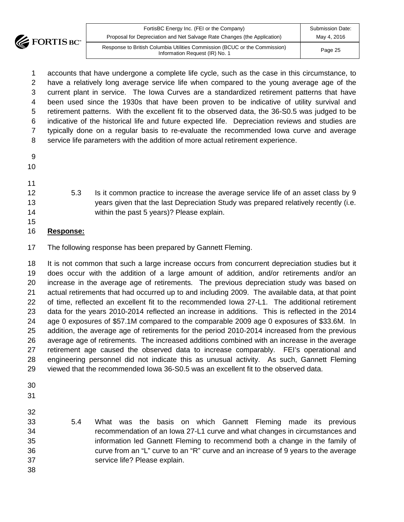

| FortisBC Energy Inc. (FEI or the Company)                                                                    | <b>Submission Date:</b> |
|--------------------------------------------------------------------------------------------------------------|-------------------------|
| Proposal for Depreciation and Net Salvage Rate Changes (the Application)                                     | May 4, 2016             |
| Response to British Columbia Utilities Commission (BCUC or the Commission)<br>Information Request (IR) No. 1 | Page 25                 |

 accounts that have undergone a complete life cycle, such as the case in this circumstance, to have a relatively long average service life when compared to the young average age of the current plant in service. The Iowa Curves are a standardized retirement patterns that have been used since the 1930s that have been proven to be indicative of utility survival and retirement patterns. With the excellent fit to the observed data, the 36-S0.5 was judged to be indicative of the historical life and future expected life. Depreciation reviews and studies are typically done on a regular basis to re-evaluate the recommended Iowa curve and average service life parameters with the addition of more actual retirement experience.

| 9 |
|---|

- 
- 
- 
- 
- 
- 

 5.3 Is it common practice to increase the average service life of an asset class by 9 years given that the last Depreciation Study was prepared relatively recently (i.e. within the past 5 years)? Please explain.

# **Response:**

The following response has been prepared by Gannett Fleming.

 It is not common that such a large increase occurs from concurrent depreciation studies but it does occur with the addition of a large amount of addition, and/or retirements and/or an increase in the average age of retirements. The previous depreciation study was based on actual retirements that had occurred up to and including 2009. The available data, at that point of time, reflected an excellent fit to the recommended Iowa 27-L1. The additional retirement data for the years 2010-2014 reflected an increase in additions. This is reflected in the 2014 age 0 exposures of \$57.1M compared to the comparable 2009 age 0 exposures of \$33.6M. In addition, the average age of retirements for the period 2010-2014 increased from the previous average age of retirements. The increased additions combined with an increase in the average retirement age caused the observed data to increase comparably. FEI's operational and engineering personnel did not indicate this as unusual activity. As such, Gannett Fleming viewed that the recommended Iowa 36-S0.5 was an excellent fit to the observed data.

- 
- 

- 5.4 What was the basis on which Gannett Fleming made its previous recommendation of an Iowa 27-L1 curve and what changes in circumstances and information led Gannett Fleming to recommend both a change in the family of curve from an "L" curve to an "R" curve and an increase of 9 years to the average service life? Please explain.
-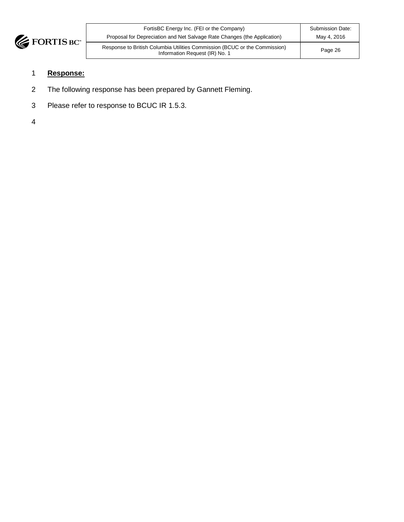

| FortisBC Energy Inc. (FEI or the Company)                                                                    | <b>Submission Date:</b> |
|--------------------------------------------------------------------------------------------------------------|-------------------------|
| Proposal for Depreciation and Net Salvage Rate Changes (the Application)                                     | May 4, 2016             |
| Response to British Columbia Utilities Commission (BCUC or the Commission)<br>Information Request (IR) No. 1 | Page 26                 |

# 1 **Response:**

- 2 The following response has been prepared by Gannett Fleming.
- 3 Please refer to response to BCUC IR 1.5.3.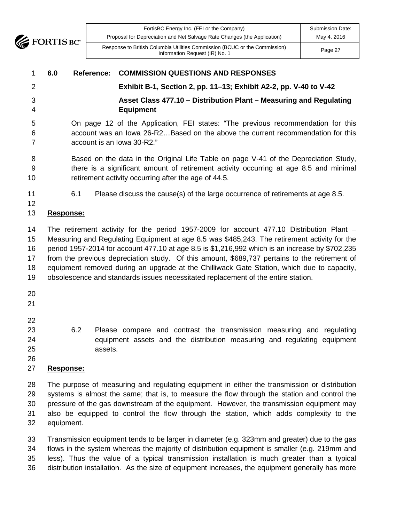

| FortisBC Energy Inc. (FEI or the Company)                                                                    | <b>Submission Date:</b> |
|--------------------------------------------------------------------------------------------------------------|-------------------------|
| Proposal for Depreciation and Net Salvage Rate Changes (the Application)                                     | May 4, 2016             |
| Response to British Columbia Utilities Commission (BCUC or the Commission)<br>Information Request (IR) No. 1 | Page 27                 |

#### **6.0 Reference: COMMISSION QUESTIONS AND RESPONSES**

#### **Exhibit B-1, Section 2, pp. 11–13; Exhibit A2-2, pp. V-40 to V-42**

 **Asset Class 477.10 – Distribution Plant – Measuring and Regulating Equipment**

 On page 12 of the Application, FEI states: "The previous recommendation for this account was an Iowa 26-R2…Based on the above the current recommendation for this account is an Iowa 30-R2."

 Based on the data in the Original Life Table on page V-41 of the Depreciation Study, there is a significant amount of retirement activity occurring at age 8.5 and minimal retirement activity occurring after the age of 44.5.

6.1 Please discuss the cause(s) of the large occurrence of retirements at age 8.5.

# **Response:**

 The retirement activity for the period 1957-2009 for account 477.10 Distribution Plant – Measuring and Regulating Equipment at age 8.5 was \$485,243. The retirement activity for the period 1957-2014 for account 477.10 at age 8.5 is \$1,216,992 which is an increase by \$702,235 from the previous depreciation study. Of this amount, \$689,737 pertains to the retirement of equipment removed during an upgrade at the Chilliwack Gate Station, which due to capacity, obsolescence and standards issues necessitated replacement of the entire station.

- 
- 
- 
- 
- 

 6.2 Please compare and contrast the transmission measuring and regulating equipment assets and the distribution measuring and regulating equipment assets.

# **Response:**

 The purpose of measuring and regulating equipment in either the transmission or distribution systems is almost the same; that is, to measure the flow through the station and control the pressure of the gas downstream of the equipment. However, the transmission equipment may also be equipped to control the flow through the station, which adds complexity to the equipment.

 Transmission equipment tends to be larger in diameter (e.g. 323mm and greater) due to the gas flows in the system whereas the majority of distribution equipment is smaller (e.g. 219mm and less). Thus the value of a typical transmission installation is much greater than a typical distribution installation. As the size of equipment increases, the equipment generally has more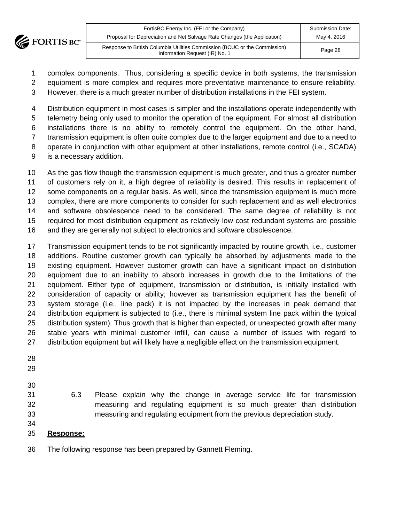

| FortisBC Energy Inc. (FEI or the Company)                                                                    | Submission Date: |
|--------------------------------------------------------------------------------------------------------------|------------------|
| Proposal for Depreciation and Net Salvage Rate Changes (the Application)                                     | May 4, 2016      |
| Response to British Columbia Utilities Commission (BCUC or the Commission)<br>Information Request (IR) No. 1 | Page 28          |

- complex components. Thus, considering a specific device in both systems, the transmission
- equipment is more complex and requires more preventative maintenance to ensure reliability.
- However, there is a much greater number of distribution installations in the FEI system.

 Distribution equipment in most cases is simpler and the installations operate independently with telemetry being only used to monitor the operation of the equipment. For almost all distribution installations there is no ability to remotely control the equipment. On the other hand, transmission equipment is often quite complex due to the larger equipment and due to a need to operate in conjunction with other equipment at other installations, remote control (i.e., SCADA) is a necessary addition.

 As the gas flow though the transmission equipment is much greater, and thus a greater number of customers rely on it, a high degree of reliability is desired. This results in replacement of some components on a regular basis. As well, since the transmission equipment is much more complex, there are more components to consider for such replacement and as well electronics and software obsolescence need to be considered. The same degree of reliability is not required for most distribution equipment as relatively low cost redundant systems are possible and they are generally not subject to electronics and software obsolescence.

 Transmission equipment tends to be not significantly impacted by routine growth, i.e., customer additions. Routine customer growth can typically be absorbed by adjustments made to the existing equipment. However customer growth can have a significant impact on distribution equipment due to an inability to absorb increases in growth due to the limitations of the equipment. Either type of equipment, transmission or distribution, is initially installed with consideration of capacity or ability; however as transmission equipment has the benefit of system storage (i.e., line pack) it is not impacted by the increases in peak demand that distribution equipment is subjected to (i.e., there is minimal system line pack within the typical distribution system). Thus growth that is higher than expected, or unexpected growth after many stable years with minimal customer infill, can cause a number of issues with regard to distribution equipment but will likely have a negligible effect on the transmission equipment.

- 
- 
- 

- 6.3 Please explain why the change in average service life for transmission measuring and regulating equipment is so much greater than distribution measuring and regulating equipment from the previous depreciation study.
- **Response:**
- The following response has been prepared by Gannett Fleming.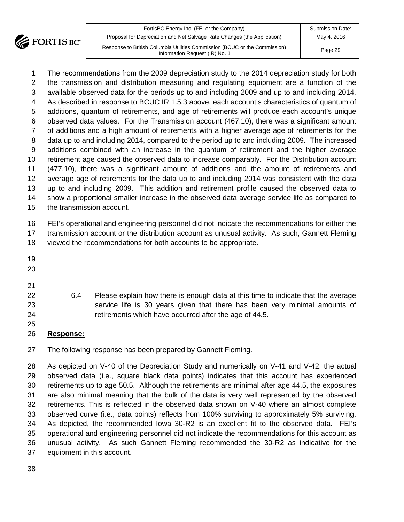

| FortisBC Energy Inc. (FEI or the Company)<br>Proposal for Depreciation and Net Salvage Rate Changes (the Application) | <b>Submission Date:</b><br>May 4, 2016 |
|-----------------------------------------------------------------------------------------------------------------------|----------------------------------------|
| Response to British Columbia Utilities Commission (BCUC or the Commission)<br>Information Request (IR) No. 1          | Page 29                                |

 The recommendations from the 2009 depreciation study to the 2014 depreciation study for both the transmission and distribution measuring and regulating equipment are a function of the available observed data for the periods up to and including 2009 and up to and including 2014. As described in response to BCUC IR 1.5.3 above, each account's characteristics of quantum of additions, quantum of retirements, and age of retirements will produce each account's unique observed data values. For the Transmission account (467.10), there was a significant amount of additions and a high amount of retirements with a higher average age of retirements for the data up to and including 2014, compared to the period up to and including 2009. The increased additions combined with an increase in the quantum of retirement and the higher average retirement age caused the observed data to increase comparably. For the Distribution account (477.10), there was a significant amount of additions and the amount of retirements and average age of retirements for the data up to and including 2014 was consistent with the data up to and including 2009. This addition and retirement profile caused the observed data to show a proportional smaller increase in the observed data average service life as compared to the transmission account.

 FEI's operational and engineering personnel did not indicate the recommendations for either the transmission account or the distribution account as unusual activity. As such, Gannett Fleming viewed the recommendations for both accounts to be appropriate.

- 
- 
- 

- 6.4 Please explain how there is enough data at this time to indicate that the average service life is 30 years given that there has been very minimal amounts of retirements which have occurred after the age of 44.5.
- **Response:**

The following response has been prepared by Gannett Fleming.

 As depicted on V-40 of the Depreciation Study and numerically on V-41 and V-42, the actual observed data (i.e., square black data points) indicates that this account has experienced retirements up to age 50.5. Although the retirements are minimal after age 44.5, the exposures are also minimal meaning that the bulk of the data is very well represented by the observed retirements. This is reflected in the observed data shown on V-40 where an almost complete observed curve (i.e., data points) reflects from 100% surviving to approximately 5% surviving. As depicted, the recommended Iowa 30-R2 is an excellent fit to the observed data. FEI's operational and engineering personnel did not indicate the recommendations for this account as unusual activity. As such Gannett Fleming recommended the 30-R2 as indicative for the equipment in this account.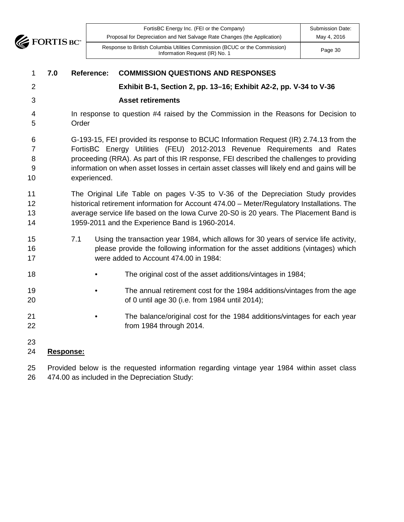

| FortisBC Energy Inc. (FEI or the Company)                                                                    | <b>Submission Date:</b> |
|--------------------------------------------------------------------------------------------------------------|-------------------------|
| Proposal for Depreciation and Net Salvage Rate Changes (the Application)                                     | May 4, 2016             |
| Response to British Columbia Utilities Commission (BCUC or the Commission)<br>Information Request (IR) No. 1 | Page 30                 |

| $\mathbf{1}$                        | 7.0 | <b>Reference:</b> | <b>COMMISSION QUESTIONS AND RESPONSES</b>                                                                                                                                                                                                                                                                                                                    |
|-------------------------------------|-----|-------------------|--------------------------------------------------------------------------------------------------------------------------------------------------------------------------------------------------------------------------------------------------------------------------------------------------------------------------------------------------------------|
| $\overline{2}$                      |     |                   | Exhibit B-1, Section 2, pp. 13-16; Exhibit A2-2, pp. V-34 to V-36                                                                                                                                                                                                                                                                                            |
| 3                                   |     |                   | <b>Asset retirements</b>                                                                                                                                                                                                                                                                                                                                     |
| 4<br>5                              |     | Order             | In response to question #4 raised by the Commission in the Reasons for Decision to                                                                                                                                                                                                                                                                           |
| 6<br>$\overline{7}$<br>8<br>9<br>10 |     | experienced.      | G-193-15, FEI provided its response to BCUC Information Request (IR) 2.74.13 from the<br>FortisBC Energy Utilities (FEU) 2012-2013 Revenue Requirements and Rates<br>proceeding (RRA). As part of this IR response, FEI described the challenges to providing<br>information on when asset losses in certain asset classes will likely end and gains will be |
| 11<br>12<br>13<br>14                |     |                   | The Original Life Table on pages V-35 to V-36 of the Depreciation Study provides<br>historical retirement information for Account 474.00 - Meter/Regulatory Installations. The<br>average service life based on the Iowa Curve 20-S0 is 20 years. The Placement Band is<br>1959-2011 and the Experience Band is 1960-2014.                                   |
| 15<br>16<br>17                      |     | 7.1               | Using the transaction year 1984, which allows for 30 years of service life activity,<br>please provide the following information for the asset additions (vintages) which<br>were added to Account 474.00 in 1984:                                                                                                                                           |
| 18                                  |     |                   | The original cost of the asset additions/vintages in 1984;                                                                                                                                                                                                                                                                                                   |
| 19<br>20                            |     |                   | The annual retirement cost for the 1984 additions/vintages from the age<br>of 0 until age 30 (i.e. from 1984 until 2014);                                                                                                                                                                                                                                    |
| 21<br>22                            |     |                   | The balance/original cost for the 1984 additions/vintages for each year<br>from 1984 through 2014.                                                                                                                                                                                                                                                           |
| 23<br>24                            |     | Response:         |                                                                                                                                                                                                                                                                                                                                                              |
| 25                                  |     |                   | Provided below is the requested information regarding vintage year 1984 within asset class                                                                                                                                                                                                                                                                   |

474.00 as included in the Depreciation Study: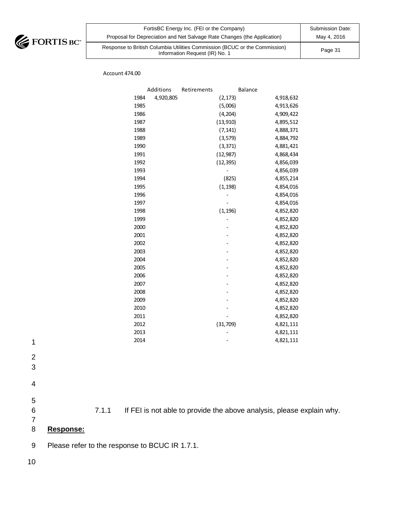

| FortisBC Energy Inc. (FEI or the Company)                                                                    | Submission Date: |
|--------------------------------------------------------------------------------------------------------------|------------------|
| Proposal for Depreciation and Net Salvage Rate Changes (the Application)                                     | May 4, 2016      |
| Response to British Columbia Utilities Commission (BCUC or the Commission)<br>Information Request (IR) No. 1 | Page 31          |

Account 474.00

|      | Additions | Retirements |           | Balance |           |
|------|-----------|-------------|-----------|---------|-----------|
| 1984 | 4,920,805 |             | (2, 173)  |         | 4,918,632 |
| 1985 |           |             | (5,006)   |         | 4,913,626 |
| 1986 |           |             | (4, 204)  |         | 4,909,422 |
| 1987 |           |             | (13,910)  |         | 4,895,512 |
| 1988 |           |             | (7, 141)  |         | 4,888,371 |
| 1989 |           |             | (3, 579)  |         | 4,884,792 |
| 1990 |           |             | (3, 371)  |         | 4,881,421 |
| 1991 |           |             | (12, 987) |         | 4,868,434 |
| 1992 |           |             | (12, 395) |         | 4,856,039 |
| 1993 |           |             |           |         | 4,856,039 |
| 1994 |           |             | (825)     |         | 4,855,214 |
| 1995 |           |             | (1, 198)  |         | 4,854,016 |
| 1996 |           |             |           |         | 4,854,016 |
| 1997 |           |             |           |         | 4,854,016 |
| 1998 |           |             | (1, 196)  |         | 4,852,820 |
| 1999 |           |             |           |         | 4,852,820 |
| 2000 |           |             |           |         | 4,852,820 |
| 2001 |           |             |           |         | 4,852,820 |
| 2002 |           |             |           |         | 4,852,820 |
| 2003 |           |             |           |         | 4,852,820 |
| 2004 |           |             |           |         | 4,852,820 |
| 2005 |           |             |           |         | 4,852,820 |
| 2006 |           |             |           |         | 4,852,820 |
| 2007 |           |             |           |         | 4,852,820 |
| 2008 |           |             |           |         | 4,852,820 |
| 2009 |           |             |           |         | 4,852,820 |
| 2010 |           |             |           |         | 4,852,820 |
| 2011 |           |             |           |         | 4,852,820 |
| 2012 |           |             | (31, 709) |         | 4,821,111 |
| 2013 |           |             |           |         | 4,821,111 |
| 2014 |           |             |           |         | 4,821,111 |

- 1
- 2
- 3
- 4
- 
- 5

6 7.1.1 If FEI is not able to provide the above analysis, please explain why.

7

# 8 **Response:**

9 Please refer to the response to BCUC IR 1.7.1.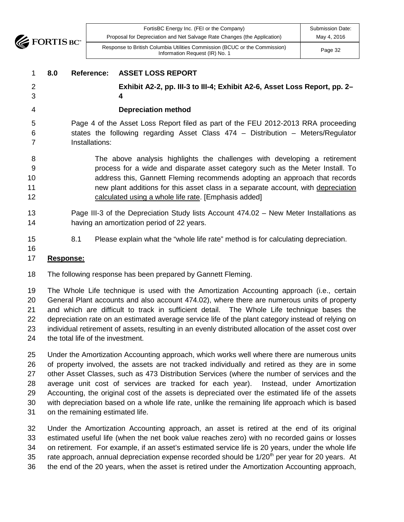

# **8.0 Reference: ASSET LOSS REPORT Exhibit A2-2, pp. III-3 to III-4; Exhibit A2-6, Asset Loss Report, pp. 2– 4 Depreciation method** Page 4 of the Asset Loss Report filed as part of the FEU 2012-2013 RRA proceeding states the following regarding Asset Class 474 – Distribution – Meters/Regulator Installations: The above analysis highlights the challenges with developing a retirement process for a wide and disparate asset category such as the Meter Install. To address this, Gannett Fleming recommends adopting an approach that records new plant additions for this asset class in a separate account, with depreciation

- calculated using a whole life rate. [Emphasis added]
- Page III-3 of the Depreciation Study lists Account 474.02 New Meter Installations as having an amortization period of 22 years.
- 

15 8.1 Please explain what the "whole life rate" method is for calculating depreciation.

#### **Response:**

The following response has been prepared by Gannett Fleming.

 The Whole Life technique is used with the Amortization Accounting approach (i.e., certain General Plant accounts and also account 474.02), where there are numerous units of property and which are difficult to track in sufficient detail. The Whole Life technique bases the depreciation rate on an estimated average service life of the plant category instead of relying on individual retirement of assets, resulting in an evenly distributed allocation of the asset cost over the total life of the investment.

 Under the Amortization Accounting approach, which works well where there are numerous units of property involved, the assets are not tracked individually and retired as they are in some other Asset Classes, such as 473 Distribution Services (where the number of services and the average unit cost of services are tracked for each year). Instead, under Amortization Accounting, the original cost of the assets is depreciated over the estimated life of the assets with depreciation based on a whole life rate, unlike the remaining life approach which is based on the remaining estimated life.

 Under the Amortization Accounting approach, an asset is retired at the end of its original estimated useful life (when the net book value reaches zero) with no recorded gains or losses on retirement. For example, if an asset's estimated service life is 20 years, under the whole life 35 rate approach, annual depreciation expense recorded should be 1/20<sup>th</sup> per year for 20 years. At the end of the 20 years, when the asset is retired under the Amortization Accounting approach,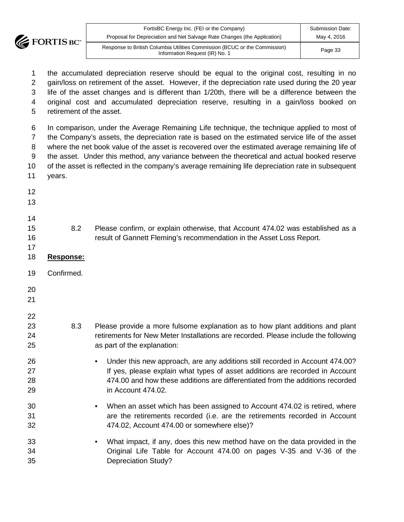

| FortisBC Energy Inc. (FEI or the Company)                                                                    | <b>Submission Date:</b> |
|--------------------------------------------------------------------------------------------------------------|-------------------------|
| Proposal for Depreciation and Net Salvage Rate Changes (the Application)                                     | May 4, 2016             |
| Response to British Columbia Utilities Commission (BCUC or the Commission)<br>Information Request (IR) No. 1 | Page 33                 |

 the accumulated depreciation reserve should be equal to the original cost, resulting in no gain/loss on retirement of the asset. However, if the depreciation rate used during the 20 year life of the asset changes and is different than 1/20th, there will be a difference between the original cost and accumulated depreciation reserve, resulting in a gain/loss booked on retirement of the asset.

 In comparison, under the Average Remaining Life technique, the technique applied to most of the Company's assets, the depreciation rate is based on the estimated service life of the asset where the net book value of the asset is recovered over the estimated average remaining life of the asset. Under this method, any variance between the theoretical and actual booked reserve of the asset is reflected in the company's average remaining life depreciation rate in subsequent years.

- 8.2 Please confirm, or explain otherwise, that Account 474.02 was established as a result of Gannett Fleming's recommendation in the Asset Loss Report. **Response:** Confirmed.
	- 8.3 Please provide a more fulsome explanation as to how plant additions and plant **retirements for New Meter Installations are recorded. Please include the following** as part of the explanation:
	- Under this new approach, are any additions still recorded in Account 474.00? **If yes, please explain what types of asset additions are recorded in Account**  474.00 and how these additions are differentiated from the additions recorded in Account 474.02.
	- When an asset which has been assigned to Account 474.02 is retired, where are the retirements recorded (i.e. are the retirements recorded in Account 474.02, Account 474.00 or somewhere else)?
	- What impact, if any, does this new method have on the data provided in the Original Life Table for Account 474.00 on pages V-35 and V-36 of the Depreciation Study?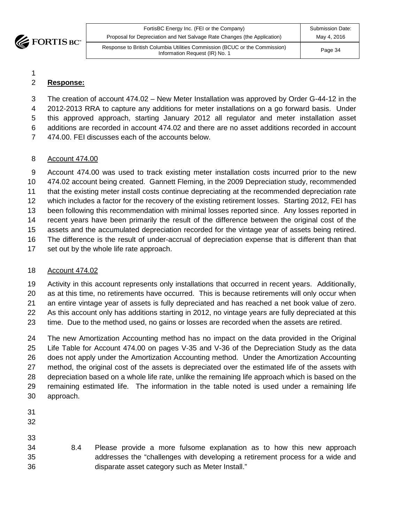

| FortisBC Energy Inc. (FEI or the Company)                                                                    | <b>Submission Date:</b> |
|--------------------------------------------------------------------------------------------------------------|-------------------------|
| Proposal for Depreciation and Net Salvage Rate Changes (the Application)                                     | May 4, 2016             |
| Response to British Columbia Utilities Commission (BCUC or the Commission)<br>Information Request (IR) No. 1 | Page 34                 |

# **Response:**

 The creation of account 474.02 – New Meter Installation was approved by Order G-44-12 in the 2012-2013 RRA to capture any additions for meter installations on a go forward basis. Under this approved approach, starting January 2012 all regulator and meter installation asset additions are recorded in account 474.02 and there are no asset additions recorded in account 474.00. FEI discusses each of the accounts below.

#### Account 474.00

 Account 474.00 was used to track existing meter installation costs incurred prior to the new 474.02 account being created. Gannett Fleming, in the 2009 Depreciation study, recommended that the existing meter install costs continue depreciating at the recommended depreciation rate which includes a factor for the recovery of the existing retirement losses. Starting 2012, FEI has been following this recommendation with minimal losses reported since. Any losses reported in recent years have been primarily the result of the difference between the original cost of the assets and the accumulated depreciation recorded for the vintage year of assets being retired. The difference is the result of under-accrual of depreciation expense that is different than that

set out by the whole life rate approach.

# Account 474.02

 Activity in this account represents only installations that occurred in recent years. Additionally, as at this time, no retirements have occurred. This is because retirements will only occur when

 an entire vintage year of assets is fully depreciated and has reached a net book value of zero. As this account only has additions starting in 2012, no vintage years are fully depreciated at this

time. Due to the method used, no gains or losses are recorded when the assets are retired.

 The new Amortization Accounting method has no impact on the data provided in the Original Life Table for Account 474.00 on pages V-35 and V-36 of the Depreciation Study as the data does not apply under the Amortization Accounting method. Under the Amortization Accounting method, the original cost of the assets is depreciated over the estimated life of the assets with depreciation based on a whole life rate, unlike the remaining life approach which is based on the remaining estimated life. The information in the table noted is used under a remaining life approach.

- 
- 
- 
- 8.4 Please provide a more fulsome explanation as to how this new approach addresses the "challenges with developing a retirement process for a wide and disparate asset category such as Meter Install."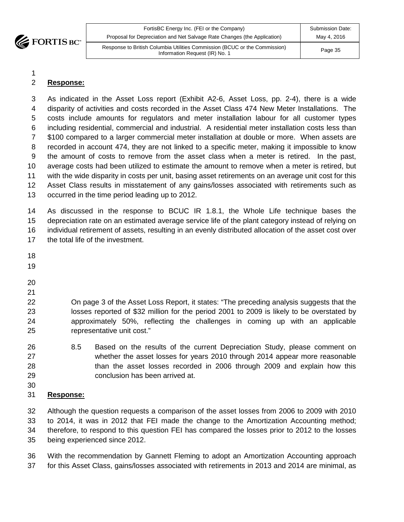

| FortisBC Energy Inc. (FEI or the Company)                                                                    | <b>Submission Date:</b> |
|--------------------------------------------------------------------------------------------------------------|-------------------------|
| Proposal for Depreciation and Net Salvage Rate Changes (the Application)                                     | May 4, 2016             |
| Response to British Columbia Utilities Commission (BCUC or the Commission)<br>Information Request (IR) No. 1 | Page 35                 |

# **Response:**

 As indicated in the Asset Loss report (Exhibit A2-6, Asset Loss, pp. 2-4), there is a wide disparity of activities and costs recorded in the Asset Class 474 New Meter Installations. The costs include amounts for regulators and meter installation labour for all customer types including residential, commercial and industrial. A residential meter installation costs less than \$100 compared to a larger commercial meter installation at double or more. When assets are recorded in account 474, they are not linked to a specific meter, making it impossible to know the amount of costs to remove from the asset class when a meter is retired. In the past, average costs had been utilized to estimate the amount to remove when a meter is retired, but with the wide disparity in costs per unit, basing asset retirements on an average unit cost for this Asset Class results in misstatement of any gains/losses associated with retirements such as occurred in the time period leading up to 2012.

 As discussed in the response to BCUC IR 1.8.1, the Whole Life technique bases the depreciation rate on an estimated average service life of the plant category instead of relying on individual retirement of assets, resulting in an evenly distributed allocation of the asset cost over the total life of the investment.

- 
- 

 On page 3 of the Asset Loss Report, it states: "The preceding analysis suggests that the losses reported of \$32 million for the period 2001 to 2009 is likely to be overstated by approximately 50%, reflecting the challenges in coming up with an applicable representative unit cost."

- 8.5 Based on the results of the current Depreciation Study, please comment on whether the asset losses for years 2010 through 2014 appear more reasonable than the asset losses recorded in 2006 through 2009 and explain how this conclusion has been arrived at.
- 

# **Response:**

 Although the question requests a comparison of the asset losses from 2006 to 2009 with 2010 to 2014, it was in 2012 that FEI made the change to the Amortization Accounting method; therefore, to respond to this question FEI has compared the losses prior to 2012 to the losses being experienced since 2012.

 With the recommendation by Gannett Fleming to adopt an Amortization Accounting approach for this Asset Class, gains/losses associated with retirements in 2013 and 2014 are minimal, as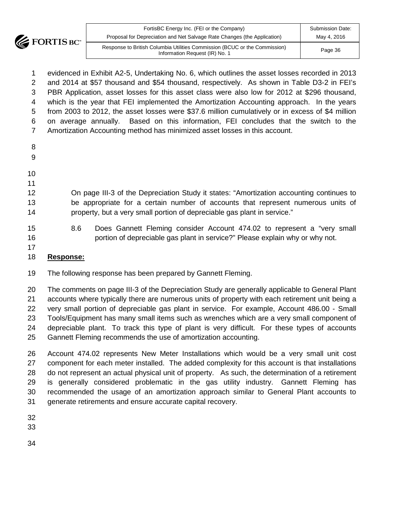

| FortisBC Energy Inc. (FEI or the Company)<br>Proposal for Depreciation and Net Salvage Rate Changes (the Application) | Submission Date:<br>May 4, 2016 |
|-----------------------------------------------------------------------------------------------------------------------|---------------------------------|
| Response to British Columbia Utilities Commission (BCUC or the Commission)<br>Information Request (IR) No. 1          | Page 36                         |
|                                                                                                                       |                                 |

 evidenced in Exhibit A2-5, Undertaking No. 6, which outlines the asset losses recorded in 2013 and 2014 at \$57 thousand and \$54 thousand, respectively. As shown in Table D3-2 in FEI's PBR Application, asset losses for this asset class were also low for 2012 at \$296 thousand, which is the year that FEI implemented the Amortization Accounting approach. In the years from 2003 to 2012, the asset losses were \$37.6 million cumulatively or in excess of \$4 million on average annually. Based on this information, FEI concludes that the switch to the Amortization Accounting method has minimized asset losses in this account.

- 
- 
- 
- 

 On page III-3 of the Depreciation Study it states: "Amortization accounting continues to be appropriate for a certain number of accounts that represent numerous units of property, but a very small portion of depreciable gas plant in service."

- 8.6 Does Gannett Fleming consider Account 474.02 to represent a "very small portion of depreciable gas plant in service?" Please explain why or why not.
- 

# **Response:**

The following response has been prepared by Gannett Fleming.

 The comments on page III-3 of the Depreciation Study are generally applicable to General Plant accounts where typically there are numerous units of property with each retirement unit being a very small portion of depreciable gas plant in service. For example, Account 486.00 - Small Tools/Equipment has many small items such as wrenches which are a very small component of depreciable plant. To track this type of plant is very difficult. For these types of accounts Gannett Fleming recommends the use of amortization accounting.

 Account 474.02 represents New Meter Installations which would be a very small unit cost component for each meter installed. The added complexity for this account is that installations do not represent an actual physical unit of property. As such, the determination of a retirement is generally considered problematic in the gas utility industry. Gannett Fleming has recommended the usage of an amortization approach similar to General Plant accounts to generate retirements and ensure accurate capital recovery.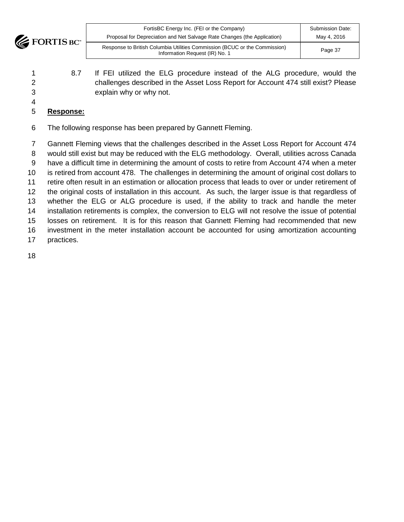

| FortisBC Energy Inc. (FEI or the Company)                                                                    | <b>Submission Date:</b> |
|--------------------------------------------------------------------------------------------------------------|-------------------------|
| Proposal for Depreciation and Net Salvage Rate Changes (the Application)                                     | May 4, 2016             |
| Response to British Columbia Utilities Commission (BCUC or the Commission)<br>Information Request (IR) No. 1 | Page 37                 |

- 8.7 If FEI utilized the ELG procedure instead of the ALG procedure, would the challenges described in the Asset Loss Report for Account 474 still exist? Please explain why or why not.
- **Response:**
- The following response has been prepared by Gannett Fleming.

 Gannett Fleming views that the challenges described in the Asset Loss Report for Account 474 would still exist but may be reduced with the ELG methodology. Overall, utilities across Canada have a difficult time in determining the amount of costs to retire from Account 474 when a meter is retired from account 478. The challenges in determining the amount of original cost dollars to retire often result in an estimation or allocation process that leads to over or under retirement of the original costs of installation in this account. As such, the larger issue is that regardless of whether the ELG or ALG procedure is used, if the ability to track and handle the meter installation retirements is complex, the conversion to ELG will not resolve the issue of potential losses on retirement. It is for this reason that Gannett Fleming had recommended that new investment in the meter installation account be accounted for using amortization accounting practices.